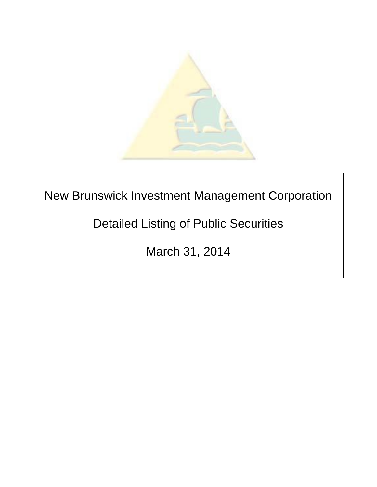

New Brunswick Investment Management Corporation

Detailed Listing of Public Securities

March 31, 2014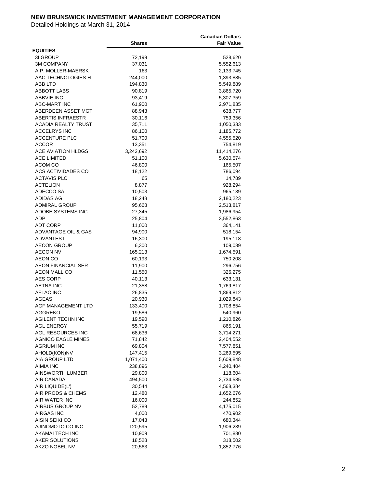|                            |               | <b>Canadian Dollars</b> |
|----------------------------|---------------|-------------------------|
|                            | <b>Shares</b> | <b>Fair Value</b>       |
| <b>EQUITIES</b>            |               |                         |
| 31 GROUP                   | 72,199        | 528,620                 |
| <b>3M COMPANY</b>          | 37,031        | 5,552,613               |
| A.P. MOLLER-MAERSK         | 163           | 2,133,745               |
| AAC TECHNOLOGIES H         | 244,000       | 1,393,885               |
| ABB LTD                    | 194,830       | 5,549,889               |
| <b>ABBOTT LABS</b>         | 90,819        | 3,865,720               |
| <b>ABBVIE INC</b>          | 93,419        | 5,307,359               |
| <b>ABC-MART INC</b>        | 61,900        | 2,971,835               |
| ABERDEEN ASSET MGT         | 88,943        | 638,777                 |
| <b>ABERTIS INFRAESTR</b>   | 30,116        | 759,356                 |
| <b>ACADIA REALTY TRUST</b> | 35,711        | 1,050,333               |
| <b>ACCELRYS INC</b>        | 86,100        | 1,185,772               |
| ACCENTURE PLC              | 51,700        | 4,555,520               |
| <b>ACCOR</b>               | 13,351        | 754,819                 |
| <b>ACE AVIATION HLDGS</b>  | 3,242,692     | 11,414,276              |
| <b>ACE LIMITED</b>         | 51,100        | 5,630,574               |
| ACOM CO                    | 46,800        | 165,507                 |
| ACS ACTIVIDADES CO         | 18,122        | 786,094                 |
| ACTAVIS PLC                | 65            | 14,789                  |
| <b>ACTELION</b>            | 8,877         | 928,294                 |
| ADECCO SA                  | 10,503        | 965,139                 |
| ADIDAS AG                  | 18,248        | 2,180,223               |
| ADMIRAL GROUP              | 95,668        | 2,513,817               |
| ADOBE SYSTEMS INC          | 27,345        | 1,986,954               |
| <b>ADP</b>                 | 25,804        | 3,552,863               |
| <b>ADT CORP</b>            | 11,000        | 364,141                 |
| ADVANTAGE OIL & GAS        | 94,900        | 518,154                 |
| <b>ADVANTEST</b>           | 16,300        | 195,118                 |
| AECON GROUP                | 6,300         | 109,089                 |
| <b>AEGON NV</b>            | 165,213       | 1,674,591               |
| <b>AEON CO</b>             | 60,193        | 750,208                 |
| <b>AEON FINANCIAL SER</b>  | 11,900        | 296,756                 |
| AEON MALL CO               | 11,550        | 326,275                 |
| <b>AES CORP</b>            | 40,113        | 633,131                 |
| <b>AETNA INC</b>           | 21,358        | 1,769,817               |
| <b>AFLAC INC</b>           | 26,835        | 1,869,812               |
| <b>AGEAS</b>               | 20,930        | 1,029,843               |
| AGF MANAGEMENT LTD         | 133,400       | 1,708,854               |
| <b>AGGREKO</b>             | 19,586        | 540,960                 |
| AGILENT TECHN INC          | 19,590        | 1,210,826               |
| <b>AGL ENERGY</b>          | 55,719        | 865,191                 |
| AGL RESOURCES INC          | 68,636        | 3,714,271               |
| <b>AGNICO EAGLE MINES</b>  | 71,842        | 2,404,552               |
| <b>AGRIUM INC</b>          | 69,804        | 7,577,851               |
| AHOLD(KON)NV               | 147,415       | 3,269,595               |
| AIA GROUP LTD              | 1,071,400     | 5,609,848               |
| AIMIA INC                  | 238,896       | 4,240,404               |
| <b>AINSWORTH LUMBER</b>    | 29,800        | 118,604                 |
| AIR CANADA                 | 494,500       | 2,734,585               |
| AIR LIQUIDE(L')            | 30,544        | 4,568,384               |
| AIR PRODS & CHEMS          | 12,480        | 1,652,676               |
| AIR WATER INC              | 16,000        | 244,852                 |
| AIRBUS GROUP NV            | 52,789        | 4,175,015               |
| AIRGAS INC                 | 4,000         | 470,902                 |
| AISIN SEIKI CO             | 17,043        | 680,344                 |
| AJINOMOTO CO INC           | 120,595       | 1,906,239               |
| AKAMAI TECH INC            | 10,909        | 701,880                 |
| AKER SOLUTIONS             | 18,528        | 318,502                 |
| AKZO NOBEL NV              | 20,563        | 1,852,776               |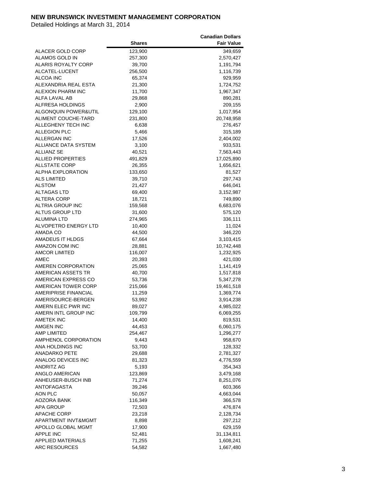|                            |               | <b>Canadian Dollars</b> |
|----------------------------|---------------|-------------------------|
|                            | <b>Shares</b> | <b>Fair Value</b>       |
| ALACER GOLD CORP           | 123,900       | 349,659                 |
| ALAMOS GOLD IN             | 257,300       | 2,570,427               |
| ALARIS ROYALTY CORP        | 39,700        | 1,191,794               |
| ALCATEL-LUCENT             | 256,500       | 1,116,739               |
|                            |               |                         |
| ALCOA INC                  | 65,374        | 929,959                 |
| ALEXANDRIA REAL ESTA       | 21,300        | 1,724,752               |
| ALEXION PHARM INC          | 11,700        | 1,967,347               |
| ALFA LAVAL AB              | 29,868        | 890,281                 |
| ALFRESA HOLDINGS           | 2,900         | 209,155                 |
| ALGONQUIN POWER&UTIL       | 129,100       | 1,017,954               |
| ALIMENT COUCHE-TARD        | 231,800       | 20,748,958              |
| ALLEGHENY TECH INC         | 6,638         | 276,457                 |
| <b>ALLEGION PLC</b>        | 5,466         | 315,189                 |
| ALLERGAN INC               | 17,526        | 2,404,002               |
| ALLIANCE DATA SYSTEM       | 3,100         | 933,531                 |
| <b>ALLIANZ SE</b>          | 40,521        | 7,563,443               |
| ALLIED PROPERTIES          | 491,829       | 17,025,890              |
| <b>ALLSTATE CORP</b>       | 26,355        | 1,656,621               |
| <b>ALPHA EXPLORATION</b>   | 133,650       | 81,527                  |
| <b>ALS LIMITED</b>         | 39,710        |                         |
|                            |               | 297,743                 |
| <b>ALSTOM</b>              | 21,427        | 646,041                 |
| <b>ALTAGAS LTD</b>         | 69,400        | 3,152,987               |
| ALTERA CORP                | 18,721        | 749,890                 |
| <b>ALTRIA GROUP INC</b>    | 159,568       | 6,683,076               |
| ALTUS GROUP LTD            | 31,600        | 575,120                 |
| ALUMINA LTD                | 274,965       | 336,111                 |
| ALVOPETRO ENERGY LTD       | 10,400        | 11,024                  |
| AMADA CO                   | 44,500        | 346,220                 |
| AMADEUS IT HLDGS           | 67,664        | 3,103,415               |
| AMAZON COM INC             | 28,881        | 10,742,448              |
| <b>AMCOR LIMITED</b>       | 116,007       | 1,232,925               |
| AMEC                       | 20,393        | 421,030                 |
| AMEREN CORPORATION         | 25,065        | 1,141,419               |
| AMERICAN ASSETS TR         | 40,700        | 1,517,818               |
| AMERICAN EXPRESS CO        | 53,736        | 5,347,278               |
| <b>AMERICAN TOWER CORP</b> |               |                         |
|                            | 215,066       | 19,461,518              |
| AMERIPRISE FINANCIAL       | 11,259        | 1,369,774               |
| AMERISOURCE-BERGEN         | 53,992        | 3,914,238               |
| AMERN ELEC PWR INC         | 89,027        | 4,985,022               |
| AMERN INTL GROUP INC       | 109,799       | 6,069,255               |
| AMETEK INC                 | 14,400        | 819,531                 |
| AMGEN INC                  | 44,453        | 6,060,175               |
| AMP LIMITED                | 254,467       | 1,296,277               |
| AMPHENOL CORPORATION       | 9,443         | 958,670                 |
| ANA HOLDINGS INC           | 53,700        | 128,332                 |
| ANADARKO PETE              | 29,688        | 2,781,327               |
| ANALOG DEVICES INC         | 81,323        | 4,776,559               |
| <b>ANDRITZ AG</b>          | 5,193         | 354,343                 |
| ANGLO AMERICAN             | 123,869       | 3,479,168               |
| ANHEUSER-BUSCH INB         | 71,274        | 8,251,076               |
| <b>ANTOFAGASTA</b>         | 39,246        | 603,366                 |
|                            |               |                         |
| AON PLC                    | 50,057        | 4,663,044               |
| AOZORA BANK                | 116,349       | 366,578                 |
| <b>APA GROUP</b>           | 72,503        | 476,874                 |
| <b>APACHE CORP</b>         | 23,218        | 2,128,734               |
| APARTMENT INVT&MGMT        | 8,898         | 297,212                 |
| APOLLO GLOBAL MGMT         | 17,900        | 629,159                 |
| APPLE INC                  | 52,481        | 31,134,811              |
| APPLIED MATERIALS          | 71,255        | 1,608,241               |
| <b>ARC RESOURCES</b>       | 54,582        | 1,667,480               |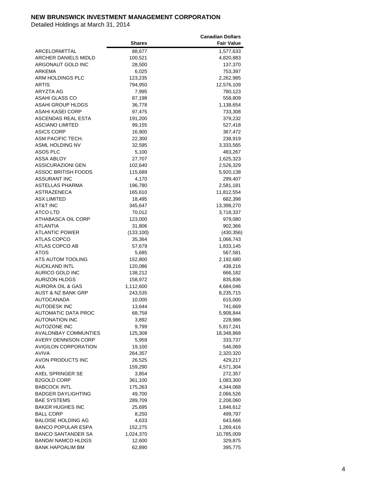|                               |               | <b>Canadian Dollars</b> |
|-------------------------------|---------------|-------------------------|
|                               | <b>Shares</b> | <b>Fair Value</b>       |
| ARCELORMITTAL                 | 88,677        | 1,577,633               |
| <b>ARCHER DANIELS MIDLD</b>   | 100,521       | 4,820,883               |
| ARGONAUT GOLD INC             | 28,500        | 137,370                 |
| ARKEMA                        | 6,025         | 753,397                 |
| <b>ARM HOLDINGS PLC</b>       |               |                         |
|                               | 123,235       | 2,262,985               |
| ARTIS                         | 794,950       | 12,576,109              |
| ARYZTA AG                     | 7,995         | 780,123                 |
| ASAHI GLASS CO                | 87,198        | 558,809                 |
| ASAHI GROUP HLDGS             | 36,778        | 1,138,654               |
| ASAHI KASEI CORP              | 97,475        | 733,308                 |
| ASCENDAS REAL ESTA            | 191,200       | 379,232                 |
| <b>ASCIANO LIMITED</b>        | 99,155        | 527,418                 |
| ASICS CORP                    | 16,900        | 367,472                 |
| ASM PACIFIC TECH.             | 22,300        | 238,919                 |
| ASML HOLDING NV               | 32,595        | 3,333,565               |
| ASOS PLC                      | 5,100         | 483,267                 |
| <b>ASSA ABLOY</b>             | 27,707        | 1,625,323               |
| <b>ASSICURAZIONI GEN</b>      | 102,640       | 2,526,329               |
| ASSOC BRITISH FOODS           |               |                         |
|                               | 115,689       | 5,920,138               |
| ASSURANT INC                  | 4,170         | 299,407                 |
| <b>ASTELLAS PHARMA</b>        | 196,780       | 2,581,181               |
| <b>ASTRAZENECA</b>            | 165,610       | 11,812,554              |
| <b>ASX LIMITED</b>            | 18,495        | 682,398                 |
| AT&T INC                      | 345,647       | 13,398,270              |
| ATCO LTD                      | 70,012        | 3,718,337               |
| ATHABASCA OIL CORP            | 123,000       | 979,080                 |
| ATLANTIA                      | 31,806        | 902,366                 |
| ATLANTIC POWER                | (133, 100)    | (430, 356)              |
| ATLAS COPCO                   | 35,364        | 1,066,743               |
| ATLAS COPCO AB                | 57,679        | 1,833,145               |
| ATOS                          | 5,685         | 567,581                 |
| ATS AUTOM TOOLING             | 152,800       | 2,192,680               |
| <b>AUCKLAND INTL</b>          |               |                         |
|                               | 120,086       | 438,216                 |
| AURICO GOLD INC               | 138,212       | 666,182                 |
| <b>AURIZON HLDGS</b>          | 158,972       | 835,836                 |
| <b>AURORA OIL &amp; GAS</b>   | 1,112,600     | 4,684,046               |
| <b>AUST &amp; NZ BANK GRP</b> | 243,535       | 8,235,715               |
| <b>AUTOCANADA</b>             | 10,000        | 615,000                 |
| <b>AUTODESK INC</b>           | 13,644        | 741,669                 |
| AUTOMATIC DATA PROC           | 68,758        | 5,908,844               |
| <b>AUTONATION INC</b>         | 3,892         | 228,986                 |
| <b>AUTOZONE INC</b>           | 9,799         | 5,817,241               |
| AVALONBAY COMMUNTIES          | 125,308       | 18,348,868              |
| <b>AVERY DENNISON CORP</b>    | 5,959         | 333,737                 |
| <b>AVIGILON CORPORATION</b>   | 19,100        | 546,069                 |
| AVIVA                         | 264,357       | 2,320,320               |
| AVON PRODUCTS INC             | 26,525        | 429,217                 |
| AXA                           |               |                         |
|                               | 159,290       | 4,571,304               |
| AXEL SPRINGER SE              | 3,854         | 272,357                 |
| <b>B2GOLD CORP</b>            | 361,100       | 1,083,300               |
| <b>BABCOCK INTL</b>           | 175,263       | 4,344,068               |
| <b>BADGER DAYLIGHTING</b>     | 49,700        | 2,066,526               |
| <b>BAE SYSTEMS</b>            | 289,709       | 2,208,060               |
| <b>BAKER HUGHES INC</b>       | 25,695        | 1,846,612               |
| <b>BALL CORP</b>              | 8,250         | 499,797                 |
| <b>BALOISE HOLDING AG</b>     | 4,633         | 643,666                 |
| <b>BANCO POPULAR ESPA</b>     | 152,275       | 1,269,416               |
| <b>BANCO SANTANDER SA</b>     | 1,024,370     | 10,785,009              |
| <b>BANDAI NAMCO HLDGS</b>     | 12,600        | 329,875                 |
| <b>BANK HAPOALIM BM</b>       | 62,890        | 395,775                 |
|                               |               |                         |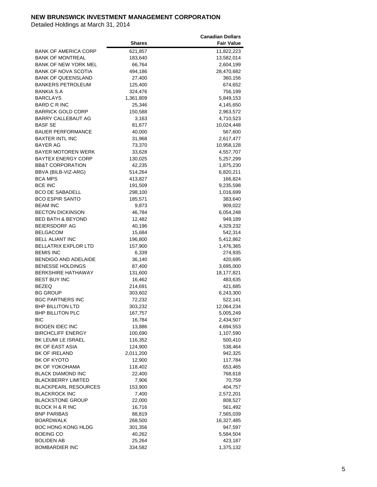|                              |               | <b>Canadian Dollars</b> |
|------------------------------|---------------|-------------------------|
|                              | <b>Shares</b> | <b>Fair Value</b>       |
| <b>BANK OF AMERICA CORP</b>  | 621,857       | 11,822,223              |
| <b>BANK OF MONTREAL</b>      | 183,640       | 13,582,014              |
| <b>BANK OF NEW YORK MEL</b>  | 66,764        | 2,604,199               |
| <b>BANK OF NOVA SCOTIA</b>   | 494,186       | 28,470,682              |
| <b>BANK OF QUEENSLAND</b>    | 27,400        | 360,156                 |
|                              |               |                         |
| BANKERS PETROLEUM            | 125,400       | 674,652                 |
| BANKIA S.A                   | 324,476       | 756,199                 |
| <b>BARCLAYS</b>              | 1,361,809     | 5,849,153               |
| BARD C R INC                 | 25,346        | 4,145,650               |
| <b>BARRICK GOLD CORP</b>     | 150,588       | 2,963,572               |
| BARRY CALLEBAUT AG           | 3,163         | 4,710,523               |
| <b>BASF SE</b>               | 81,677        | 10,024,448              |
| <b>BAUER PERFORMANCE</b>     | 40,000        | 567,600                 |
| <b>BAXTER INTL INC</b>       | 31,968        | 2,617,477               |
| BAYER AG                     | 73,370        | 10,958,128              |
| BAYER MOTOREN WERK           | 33,628        | 4,557,707               |
| <b>BAYTEX ENERGY CORP</b>    | 130,025       | 5,257,299               |
| <b>BB&amp;T CORPORATION</b>  | 42,235        | 1,875,230               |
| BBVA (BILB-VIZ-ARG)          | 514,264       | 6,820,211               |
| <b>BCA MPS</b>               | 413,827       | 166,824                 |
| <b>BCE INC</b>               | 191,509       | 9,235,598               |
| <b>BCO DE SABADELL</b>       | 298,100       | 1,016,699               |
| <b>BCO ESPIR SANTO</b>       | 185,571       | 383,640                 |
| <b>BEAM INC</b>              | 9,873         | 909,022                 |
| <b>BECTON DICKINSON</b>      | 46,784        | 6,054,248               |
| <b>BED BATH &amp; BEYOND</b> |               |                         |
|                              | 12,482        | 949,189                 |
| BEIERSDORF AG                | 40,196        | 4,329,232               |
| BELGACOM                     | 15,684        | 542,314                 |
| <b>BELL ALIANT INC</b>       | 196,800       | 5,412,862               |
| <b>BELLATRIX EXPLOR LTD</b>  | 157,900       | 1,476,365               |
| <b>BEMIS INC</b>             | 6,339         | 274,935                 |
| <b>BENDIGO AND ADELAIDE</b>  | 36,140        | 420,695                 |
| <b>BENESSE HOLDINGS</b>      | 87,400        | 3,695,000               |
| <b>BERKSHIRE HATHAWAY</b>    | 131,600       | 18,177,821              |
| <b>BEST BUY INC</b>          | 16,462        | 483,635                 |
| <b>BEZEQ</b>                 | 214,691       | 421,685                 |
| <b>BG GROUP</b>              | 303,602       | 6,243,300               |
| <b>BGC PARTNERS INC</b>      | 72,232        | 522,141                 |
| <b>BHP BILLITON LTD</b>      | 303,232       | 12,064,234              |
| <b>BHP BILLITON PLC</b>      | 167,757       | 5,005,249               |
| ВIС                          | 16,784        | 2,434,507               |
| <b>BIOGEN IDEC INC</b>       | 13,886        | 4,694,553               |
| <b>BIRCHCLIFF ENERGY</b>     | 100,690       | 1,107,590               |
| BK LEUMI LE ISRAEL           | 116,352       | 500,410                 |
| BK OF EAST ASIA              | 124,900       | 538,464                 |
| BK OF IRELAND                | 2,011,200     | 942,325                 |
| BK OF KYOTO                  | 12,900        | 117,784                 |
| BK OF YOKOHAMA               | 118,402       | 653,465                 |
| <b>BLACK DIAMOND INC</b>     | 22,400        | 768,618                 |
| <b>BLACKBERRY LIMITED</b>    | 7,906         | 70,759                  |
| <b>BLACKPEARL RESOURCES</b>  | 153,900       | 404,757                 |
| <b>BLACKROCK INC</b>         |               |                         |
|                              | 7,400         | 2,572,201               |
| <b>BLACKSTONE GROUP</b>      | 22,000        | 808,527                 |
| <b>BLOCK H &amp; R INC</b>   | 16,716        | 561,492                 |
| <b>BNP PARIBAS</b>           | 88,819        | 7,565,039               |
| BOARDWALK                    | 268,500       | 16,327,485              |
| BOC HONG KONG HLDG           | 301,356       | 947,597                 |
| <b>BOEING CO</b>             | 40,262        | 5,584,504               |
| <b>BOLIDEN AB</b>            | 25,264        | 423,187                 |
| <b>BOMBARDIER INC</b>        | 334,582       | 1,375,132               |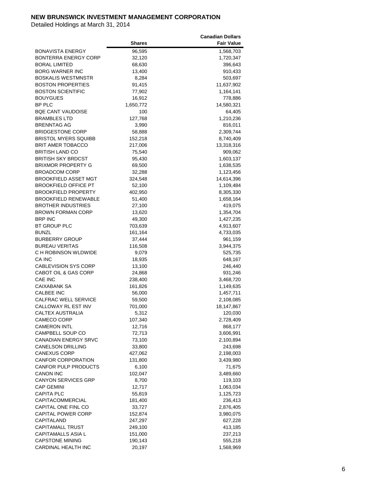|                                 |               | <b>Canadian Dollars</b> |
|---------------------------------|---------------|-------------------------|
|                                 | <b>Shares</b> | <b>Fair Value</b>       |
| <b>BONAVISTA ENERGY</b>         | 96,595        | 1,568,703               |
| BONTERRA ENERGY CORP            | 32,120        | 1,720,347               |
| <b>BORAL LIMITED</b>            | 68,630        | 396,643                 |
| <b>BORG WARNER INC</b>          | 13,400        | 910,433                 |
|                                 |               |                         |
| <b>BOSKALIS WESTMNSTR</b>       | 8,284         | 503,697                 |
| <b>BOSTON PROPERTIES</b>        | 91,415        | 11,637,902              |
| <b>BOSTON SCIENTIFIC</b>        | 77,902        | 1,164,141               |
| <b>BOUYGUES</b>                 | 16,912        | 778,886                 |
| <b>BP PLC</b>                   | 1,650,772     | 14,580,321              |
| <b>BQE CANT VAUDOISE</b>        | 100           | 64,405                  |
| <b>BRAMBLES LTD</b>             | 127,768       | 1,210,236               |
| <b>BRENNTAG AG</b>              | 3,990         | 816,011                 |
| <b>BRIDGESTONE CORP</b>         | 58,888        | 2,309,744               |
| <b>BRISTOL MYERS SQUIBB</b>     | 152,218       | 8,740,409               |
| <b>BRIT AMER TOBACCO</b>        | 217,006       | 13,318,316              |
| <b>BRITISH LAND CO</b>          | 75,540        | 909,062                 |
| BRITISH SKY BRDCST              | 95,430        | 1,603,137               |
| <b>BRIXMOR PROPERTY G</b>       | 69,500        | 1,638,535               |
| <b>BROADCOM CORP</b>            | 32,288        | 1,123,456               |
| <b>BROOKFIELD ASSET MGT</b>     |               |                         |
|                                 | 324,548       | 14,614,396              |
| <b>BROOKFIELD OFFICE PT</b>     | 52,100        | 1,109,484               |
| <b>BROOKFIELD PROPERTY</b>      | 402,950       | 8,305,330               |
| <b>BROOKFIELD RENEWABLE</b>     | 51,400        | 1,658,164               |
| <b>BROTHER INDUSTRIES</b>       | 27,100        | 419,075                 |
| <b>BROWN FORMAN CORP</b>        | 13,620        | 1,354,704               |
| <b>BRP INC</b>                  | 49,300        | 1,427,235               |
| BT GROUP PLC                    | 703,639       | 4,913,607               |
| <b>BUNZL</b>                    | 161,164       | 4,733,035               |
| <b>BURBERRY GROUP</b>           | 37,444        | 961,159                 |
| <b>BUREAU VERITAS</b>           | 116,508       | 3,944,375               |
| C H ROBINSON WLDWIDE            | 9,079         | 525,735                 |
| CA INC                          | 18,935        | 648,167                 |
| <b>CABLEVISION SYS CORP</b>     | 13,100        | 246,440                 |
| <b>CABOT OIL &amp; GAS CORP</b> | 24,868        | 931,246                 |
| <b>CAE INC</b>                  | 238,400       | 3,468,720               |
| <b>CAIXABANK SA</b>             | 161,826       | 1,149,635               |
| <b>CALBEE INC</b>               | 56,000        | 1,457,711               |
| CALFRAC WELL SERVICE            | 59,500        | 2,108,085               |
| CALLOWAY RL EST INV             |               |                         |
|                                 | 701,000       | 18,147,867              |
| CALTEX AUSTRALIA                | 5,312         | 120,030                 |
| <b>CAMECO CORP</b>              | 107,340       | 2,728,409               |
| <b>CAMERON INTL</b>             | 12,716        | 868,177                 |
| CAMPBELL SOUP CO                | 72,713        | 3,606,991               |
| <b>CANADIAN ENERGY SRVC</b>     | 73,100        | 2,100,894               |
| <b>CANELSON DRILLING</b>        | 33,800        | 243,698                 |
| <b>CANEXUS CORP</b>             | 427,062       | 2,198,003               |
| CANFOR CORPORATION              | 131,800       | 3,439,980               |
| <b>CANFOR PULP PRODUCTS</b>     | 6,100         | 71,675                  |
| <b>CANON INC</b>                | 102,047       | 3,489,660               |
| CANYON SERVICES GRP             | 8,700         | 119,103                 |
| <b>CAP GEMINI</b>               | 12,717        | 1,063,034               |
| <b>CAPITA PLC</b>               | 55,819        | 1,125,723               |
| CAPITACOMMERCIAL                | 181,400       | 236,413                 |
| CAPITAL ONE FINL CO             | 33,727        | 2,876,405               |
| <b>CAPITAL POWER CORP</b>       | 152,874       | 3,980,075               |
| CAPITALAND                      |               |                         |
|                                 | 247,297       | 627,228                 |
| <b>CAPITAMALL TRUST</b>         | 249,100       | 413,185                 |
| CAPITAMALLS ASIA L              | 151,000       | 237,213                 |
| <b>CAPSTONE MINING</b>          | 190,143       | 555,218                 |
| CARDINAL HEALTH INC             | 20,197        | 1,568,969               |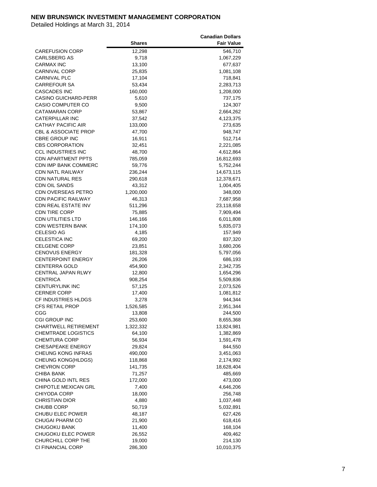|                                 |               | <b>Canadian Dollars</b> |
|---------------------------------|---------------|-------------------------|
|                                 | <b>Shares</b> | <b>Fair Value</b>       |
| <b>CAREFUSION CORP</b>          | 12,298        | 546,710                 |
| <b>CARLSBERG AS</b>             | 9,718         | 1,067,229               |
| <b>CARMAX INC</b>               | 13,100        | 677,637                 |
| <b>CARNIVAL CORP</b>            | 25,835        | 1,081,108               |
| <b>CARNIVAL PLC</b>             | 17,104        | 718,841                 |
| CARREFOUR SA                    |               |                         |
|                                 | 53,434        | 2,283,713               |
| <b>CASCADES INC</b>             | 160,000       | 1,208,000               |
| <b>CASINO GUICHARD-PERR</b>     | 5,610         | 737,175                 |
| <b>CASIO COMPUTER CO</b>        | 9,500         | 124,307                 |
| CATAMARAN CORP                  | 53,867        | 2,664,262               |
| <b>CATERPILLAR INC</b>          | 37,542        | 4,123,375               |
| CATHAY PACIFIC AIR              | 133,000       | 273,635                 |
| <b>CBL &amp; ASSOCIATE PROP</b> | 47,700        | 948,747                 |
| <b>CBRE GROUP INC</b>           | 16,911        | 512,714                 |
| <b>CBS CORPORATION</b>          | 32,451        | 2,221,085               |
| <b>CCL INDUSTRIES INC</b>       | 48,700        | 4,612,864               |
| <b>CDN APARTMENT PPTS</b>       | 785,059       | 16,812,693              |
| CDN IMP BANK COMMERC            | 59,776        | 5,752,244               |
| <b>CDN NATL RAILWAY</b>         | 236,244       | 14,673,115              |
| <b>CDN NATURAL RES</b>          | 290,618       | 12,378,671              |
| <b>CDN OIL SANDS</b>            | 43,312        | 1,004,405               |
| <b>CDN OVERSEAS PETRO</b>       | 1,200,000     | 348,000                 |
| CDN PACIFIC RAILWAY             | 46,313        | 7,687,958               |
| CDN REAL ESTATE INV             | 511,296       | 23,118,658              |
| <b>CDN TIRE CORP</b>            | 75,885        | 7,909,494               |
| CDN UTILITIES LTD               |               |                         |
|                                 | 146,166       | 6,011,808               |
| <b>CDN WESTERN BANK</b>         | 174,100       | 5,835,073               |
| <b>CELESIO AG</b>               | 4,185         | 157,949                 |
| <b>CELESTICA INC</b>            | 69,200        | 837,320                 |
| CELGENE CORP                    | 23,851        | 3,680,206               |
| <b>CENOVUS ENERGY</b>           | 181,328       | 5,797,056               |
| <b>CENTERPOINT ENERGY</b>       | 26,206        | 686,193                 |
| <b>CENTERRA GOLD</b>            | 454,900       | 2,342,735               |
| <b>CENTRAL JAPAN RLWY</b>       | 12,800        | 1,654,296               |
| <b>CENTRICA</b>                 | 908,254       | 5,509,836               |
| <b>CENTURYLINK INC</b>          | 57,125        | 2,073,526               |
| <b>CERNER CORP</b>              | 17,400        | 1,081,812               |
| CF INDUSTRIES HLDGS             | 3,278         | 944,344                 |
| CFS RETAIL PROP                 | 1,526,585     | 2,951,344               |
| CGG                             | 13,808        | 244,500                 |
| <b>CGI GROUP INC</b>            | 253,600       | 8,655,368               |
| <b>CHARTWELL RETIREMENT</b>     | 1,322,332     | 13,824,981              |
| <b>CHEMTRADE LOGISTICS</b>      | 64,100        | 1,382,869               |
| <b>CHEMTURA CORP</b>            | 56,934        | 1,591,478               |
| <b>CHESAPEAKE ENERGY</b>        | 29,824        | 844,550                 |
| CHEUNG KONG INFRAS              | 490,000       | 3,451,063               |
| CHEUNG KONG(HLDGS)              | 118,868       | 2,174,992               |
| <b>CHEVRON CORP</b>             | 141,735       | 18,628,404              |
| CHIBA BANK                      | 71,257        | 485,669                 |
| CHINA GOLD INTL RES             | 172,000       | 473,000                 |
| CHIPOTLE MEXICAN GRL            |               |                         |
|                                 | 7,400         | 4,646,206               |
| CHIYODA CORP                    | 18,000        | 256,748                 |
| <b>CHRISTIAN DIOR</b>           | 4,880         | 1,037,448               |
| <b>CHUBB CORP</b>               | 50,719        | 5,032,891               |
| CHUBU ELEC POWER                | 48,187        | 627,426                 |
| CHUGAI PHARM CO                 | 21,900        | 618,416                 |
| CHUGOKU BANK                    | 11,400        | 168,104                 |
| CHUGOKU ELEC POWER              | 26,552        | 409,462                 |
| CHURCHILL CORP THE              | 19,000        | 214,130                 |
| CI FINANCIAL CORP               | 286,300       | 10,010,375              |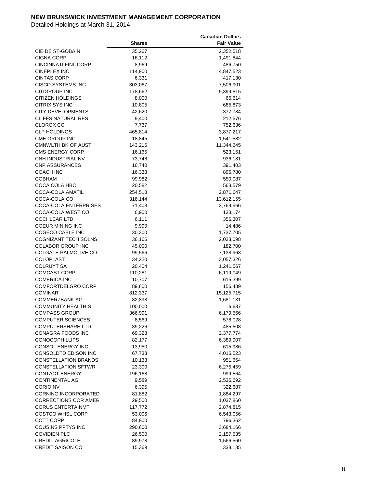|                              |               | <b>Canadian Dollars</b> |
|------------------------------|---------------|-------------------------|
|                              | <b>Shares</b> | <b>Fair Value</b>       |
| CIE DE ST-GOBAIN             | 35,267        | 2,352,518               |
| <b>CIGNA CORP</b>            | 16,112        | 1,491,844               |
| <b>CINCINNATI FINL CORP</b>  | 8,969         | 486,750                 |
| <b>CINEPLEX INC</b>          | 114,900       | 4,847,523               |
| <b>CINTAS CORP</b>           | 6,331         | 417,130                 |
| <b>CISCO SYSTEMS INC</b>     | 303,067       | 7,506,901               |
| <b>CITIGROUP INC</b>         | 178,662       | 9,399,815               |
| <b>CITIZEN HOLDINGS</b>      | 8,000         | 66,614                  |
| <b>CITRIX SYS INC</b>        | 10,805        |                         |
| <b>CITY DEVELOPMENTS</b>     | 42,620        | 685,873<br>377,784      |
| <b>CLIFFS NATURAL RES</b>    |               |                         |
|                              | 9,400         | 212,576                 |
| CLOROX CO                    | 7,737         | 752,636                 |
| <b>CLP HOLDINGS</b>          | 465,814       | 3,877,217               |
| CME GROUP INC                | 18,845        | 1,541,582               |
| <b>CMNWLTH BK OF AUST</b>    | 143,215       | 11,344,645              |
| <b>CMS ENERGY CORP</b>       | 16,165        | 523,151                 |
| CNH INDUSTRIAL NV            | 73,746        | 936,181                 |
| <b>CNP ASSURANCES</b>        | 16,740        | 391,403                 |
| <b>COACH INC</b>             | 16,338        | 896,780                 |
| <b>COBHAM</b>                | 99,982        | 550,087                 |
| COCA COLA HBC                | 20,582        | 563,579                 |
| COCA-COLA AMATIL             | 254,518       | 2,871,647               |
| COCA-COLA CO                 | 316,144       | 13,612,155              |
| <b>COCA-COLA ENTERPRISES</b> | 71,408        | 3,769,566               |
| COCA-COLA WEST CO            | 6,900         | 133,174                 |
| <b>COCHLEAR LTD</b>          | 6,111         | 356,307                 |
| COEUR MINING INC             | 9,990         | 14,486                  |
| COGECO CABLE INC             | 30,300        | 1,737,705               |
| COGNIZANT TECH SOLNS         | 36,166        | 2,023,098               |
| <b>COLABOR GROUP INC</b>     | 45,000        | 182,700                 |
| COLGATE PALMOLIVE CO         | 99,566        | 7,138,963               |
| <b>COLOPLAST</b>             | 34,220        | 3,057,326               |
| <b>COLRUYT SA</b>            | 20,404        | 1,241,567               |
| <b>COMCAST CORP</b>          | 110,281       | 6,119,049               |
| <b>COMERICA INC</b>          | 10,707        | 615,399                 |
| <b>COMFORTDELGRO CORP</b>    | 89,800        | 156,439                 |
| <b>COMINAR</b>               | 812,337       | 15,125,715              |
| COMMERZBANK AG               | 82,898        | 1,681,131               |
| <b>COMMUNITY HEALTH S</b>    | 100,000       | 6,687                   |
| <b>COMPASS GROUP</b>         | 366,991       | 6,179,566               |
| <b>COMPUTER SCIENCES</b>     | 8,569         | 578,028                 |
| <b>COMPUTERSHARE LTD</b>     | 39,226        | 485,508                 |
| <b>CONAGRA FOODS INC</b>     | 69,328        | 2,377,774               |
| <b>CONOCOPHILLIPS</b>        | 82,177        | 6,389,907               |
| <b>CONSOL ENERGY INC</b>     | 13,950        | 615,986                 |
| CONSOLDTD EDISON INC         | 67,733        | 4,016,523               |
| <b>CONSTELLATION BRANDS</b>  | 10,133        | 951,664                 |
| <b>CONSTELLATION SFTWR</b>   | 23,300        | 6,275,459               |
| <b>CONTACT ENERGY</b>        | 196,168       | 999,564                 |
| CONTINENTAL AG               | 9,589         | 2,536,692               |
| CORIO NV                     | 6,395         | 322,687                 |
|                              |               |                         |
| <b>CORNING INCORPORATED</b>  | 81,882        | 1,884,297               |
| <b>CORRECTIONS COR AMER</b>  | 29,500        | 1,037,860               |
| <b>CORUS ENTERTAINMT</b>     | 117,772       | 2,874,815               |
| <b>COSTCO WHSL CORP</b>      | 53,006        | 6,543,056               |
| <b>COTT CORP</b>             | 84,900        | 796,362                 |
| COUSINS PPTYS INC            | 290,600       | 3,684,166               |
| <b>COVIDIEN PLC</b>          | 26,500        | 2,157,535               |
| <b>CREDIT AGRICOLE</b>       | 89,978        | 1,566,560               |
| CREDIT SAISON CO             | 15,369        | 338,135                 |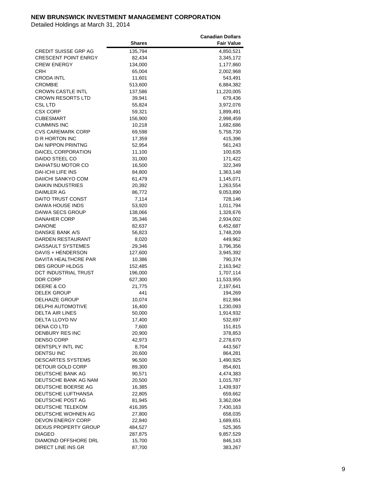|                             |               | <b>Canadian Dollars</b> |
|-----------------------------|---------------|-------------------------|
|                             | <b>Shares</b> | <b>Fair Value</b>       |
| <b>CREDIT SUISSE GRP AG</b> | 135,794       | 4,850,521               |
| <b>CRESCENT POINT ENRGY</b> | 82,434        | 3,345,172               |
| <b>CREW ENERGY</b>          | 134,000       | 1,177,860               |
| CRH                         | 65,004        | 2,002,968               |
| CRODA INTL                  | 11,601        | 543,491                 |
| CROMBIE                     | 513,600       | 6,884,382               |
| <b>CROWN CASTLE INTL</b>    | 137,586       | 11,220,005              |
| <b>CROWN RESORTS LTD</b>    |               |                         |
|                             | 39,941        | 679,436                 |
| CSL LTD<br><b>CSX CORP</b>  | 55,824        | 3,972,076               |
|                             | 59,321        | 1,899,491               |
| <b>CUBESMART</b>            | 156,900       | 2,998,459               |
| <b>CUMMINS INC</b>          | 10,218        | 1,682,686               |
| <b>CVS CAREMARK CORP</b>    | 69,598        | 5,758,730               |
| D R HORTON INC              | 17,359        | 415,396                 |
| <b>DAI NIPPON PRINTNG</b>   | 52,954        | 561,243                 |
| DAICEL CORPORATION          | 11,100        | 100,635                 |
| DAIDO STEEL CO              | 31,000        | 171,422                 |
| DAIHATSU MOTOR CO           | 16,500        | 322,349                 |
| DAI-ICHI LIFE INS           | 84,800        | 1,363,148               |
| DAIICHI SANKYO COM          | 61,479        | 1,145,071               |
| <b>DAIKIN INDUSTRIES</b>    | 20,392        | 1,263,554               |
| DAIMLER AG                  | 86,772        | 9,053,890               |
| DAITO TRUST CONST           | 7,114         | 728,146                 |
| DAIWA HOUSE INDS            | 53,920        | 1,011,794               |
| DAIWA SECS GROUP            | 138,066       | 1,328,676               |
| <b>DANAHER CORP</b>         | 35,346        | 2,934,002               |
| <b>DANONE</b>               | 82,637        | 6,452,687               |
| DANSKE BANK A/S             | 56,823        | 1,748,209               |
| DARDEN RESTAURANT           | 8,020         | 449,962                 |
| DASSAULT SYSTEMES           | 29,346        | 3,796,356               |
| DAVIS + HENDERSON           | 127,600       | 3,945,392               |
| DAVITA HEALTHCRE PAR        | 10,386        | 790,374                 |
| DBS GROUP HLDGS             | 152,485       | 2,163,942               |
| DCT INDUSTRIAL TRUST        | 196,000       | 1,707,114               |
| DDR CORP                    | 627,300       | 11,533,955              |
| DEERE & CO                  | 21,775        | 2,197,641               |
| <b>DELEK GROUP</b>          | 441           | 194,269                 |
| <b>DELHAIZE GROUP</b>       | 10,074        | 812,984                 |
| <b>DELPHI AUTOMOTIVE</b>    | 16,400        | 1,230,093               |
| <b>DELTA AIR LINES</b>      | 50,000        | 1,914,932               |
| DELTA LLOYD NV              | 17,400        | 532,697                 |
| DENA CO LTD                 | 7,600         | 151,815                 |
| DENBURY RES INC             | 20,900        | 378,853                 |
| <b>DENSO CORP</b>           | 42,973        | 2,278,670               |
| DENTSPLY INTL INC           | 8,704         | 443,567                 |
| <b>DENTSU INC</b>           | 20,600        | 864,281                 |
| DESCARTES SYSTEMS           | 96,500        | 1,490,925               |
| DETOUR GOLD CORP            | 89,300        | 854,601                 |
| DEUTSCHE BANK AG            | 90,571        | 4,474,383               |
| DEUTSCHE BANK AG NAM        | 20,500        | 1,015,787               |
| DEUTSCHE BOERSE AG          | 16,385        | 1,439,937               |
| DEUTSCHE LUFTHANSA          | 22,805        | 659,662                 |
| DEUTSCHE POST AG            | 81,945        | 3,362,004               |
| DEUTSCHE TELEKOM            | 416,395       | 7,430,163               |
| DEUTSCHE WOHNEN AG          |               |                         |
| DEVON ENERGY CORP           | 27,800        | 658,035                 |
| DEXUS PROPERTY GROUP        | 22,840        | 1,689,651               |
| <b>DIAGEO</b>               | 484,527       | 525,365                 |
| DIAMOND OFFSHORE DRL        | 287,875       | 9,857,529               |
| DIRECT LINE INS GR          | 15,700        | 846,143<br>383,267      |
|                             | 87,700        |                         |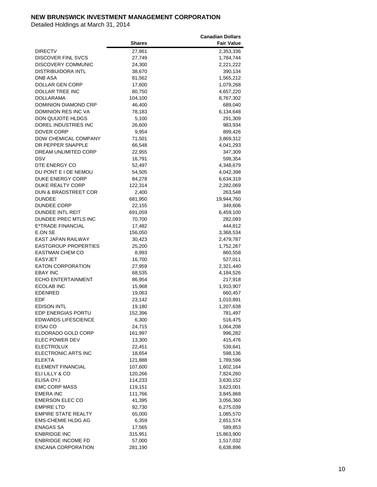|                                 |               | <b>Canadian Dollars</b> |
|---------------------------------|---------------|-------------------------|
|                                 | <b>Shares</b> | <b>Fair Value</b>       |
| <b>DIRECTV</b>                  | 27,861        | 2,353,336               |
| <b>DISCOVER FINL SVCS</b>       | 27,749        | 1,784,744               |
| DISCOVERY COMMUNIC              | 24,300        | 2,221,222               |
| DISTRIBUIDORA INTL              | 38,670        | 390,134                 |
| DNB ASA                         | 81,562        | 1,565,212               |
| DOLLAR GEN CORP                 | 17,600        | 1,079,268               |
| DOLLAR TREE INC                 | 80,750        | 4,657,220               |
| <b>DOLLARAMA</b>                | 104,100       | 8,767,302               |
| DOMINION DIAMOND CRP            |               |                         |
| <b>DOMINION RES INC VA</b>      | 46,400        | 689,040<br>6,134,648    |
| <b>DON QUIJOTE HLDGS</b>        | 78,183        |                         |
|                                 | 5,100         | 291,309                 |
| DOREL INDUSTRIES INC            | 26,600        | 983,934                 |
| DOVER CORP                      | 9,954         | 899,426                 |
| DOW CHEMICAL COMPANY            | 71,501        | 3,869,312               |
| DR PEPPER SNAPPLE               | 66,548        | 4,041,293               |
| DREAM UNLIMITED CORP            | 22,955        | 347,309                 |
| DSV                             | 16,791        | 598,354                 |
| DTE ENERGY CO                   | 52,497        | 4,348,679               |
| DU PONT E I DE NEMOU            | 54,505        | 4,042,398               |
| DUKE ENERGY CORP                | 84,278        | 6,634,319               |
| DUKE REALTY CORP                | 122,314       | 2,282,069               |
| <b>DUN &amp; BRADSTREET COR</b> | 2,400         | 263,548                 |
| <b>DUNDEE</b>                   | 681,950       | 19,944,760              |
| <b>DUNDEE CORP</b>              | 22,155        | 349,606                 |
| DUNDEE INTL REIT                | 691,059       | 6,459,100               |
| DUNDEE PREC MTLS INC            | 70,700        | 282,093                 |
| E*TRADE FINANCIAL               | 17,482        | 444,812                 |
| E.ON SE                         | 156,050       | 3,368,534               |
| EAST JAPAN RAILWAY              | 30,423        | 2,479,787               |
| <b>EASTGROUP PROPERTIES</b>     | 25,200        | 1,752,267               |
| EASTMAN CHEM CO                 | 8,993         | 860,558                 |
| <b>EASYJET</b>                  | 16,700        | 527,011                 |
| <b>EATON CORPORATION</b>        | 27,959        | 2,321,440               |
| <b>EBAY INC</b>                 | 68,535        | 4,184,526               |
| <b>ECHO ENTERTAINMENT</b>       | 86,954        | 217,918                 |
| <b>ECOLAB INC</b>               | 15,968        | 1,910,907               |
| <b>EDENRED</b>                  | 19,063        | 660,457                 |
| EDF                             | 23,142        | 1,010,891               |
| <b>EDISON INTL</b>              | 19,180        | 1,207,638               |
| EDP ENERGIAS PORTU              | 152,396       | 781,497                 |
| EDWARDS LIFESCIENCE             | 6,300         | 516,475                 |
| EISAI CO                        | 24,715        | 1,064,208               |
| ELDORADO GOLD CORP              | 161,997       | 996,282                 |
| ELEC POWER DEV                  | 13,300        | 415,476                 |
| <b>ELECTROLUX</b>               | 22,451        | 539,641                 |
| ELECTRONIC ARTS INC             | 18,654        | 598,136                 |
| <b>ELEKTA</b>                   | 121,888       | 1,789,596               |
| ELEMENT FINANCIAL               | 107,600       | 1,602,164               |
| ELI LILLY & CO                  | 120,266       | 7,824,260               |
| ELISA OYJ                       | 114,233       | 3,630,152               |
| <b>EMC CORP MASS</b>            |               |                         |
|                                 | 119,151       | 3,623,001               |
| <b>EMERA INC</b>                | 111,766       | 3,845,868               |
| <b>EMERSON ELEC CO</b>          | 41,395        | 3,056,360               |
| <b>EMPIRE LTD</b>               | 92,730        | 6,275,039               |
| <b>EMPIRE STATE REALTY</b>      | 65,000        | 1,085,570               |
| <b>EMS-CHEMIE HLDG AG</b>       | 6,359         | 2,651,574               |
| ENAGAS SA                       | 17,565        | 589,853                 |
| <b>ENBRIDGE INC</b>             | 315,951       | 15,863,900              |
| <b>ENBRIDGE INCOME FD</b>       | 57,000        | 1,517,032               |
| <b>ENCANA CORPORATION</b>       | 281,190       | 6,638,896               |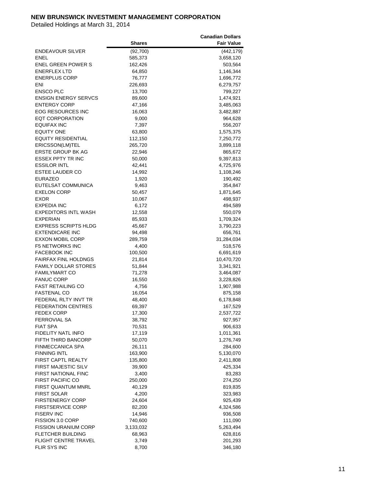|                             |               | <b>Canadian Dollars</b> |
|-----------------------------|---------------|-------------------------|
|                             | <b>Shares</b> | <b>Fair Value</b>       |
| <b>ENDEAVOUR SILVER</b>     | (92,700)      | (442, 179)              |
| ENEL                        | 585,373       | 3,658,120               |
| <b>ENEL GREEN POWER S</b>   | 162,426       | 503,564                 |
| <b>ENERFLEX LTD</b>         | 64,850        | 1,146,344               |
| <b>ENERPLUS CORP</b>        | 76,777        |                         |
| ENI                         |               | 1,696,772               |
|                             | 226,693       | 6,279,757               |
| <b>ENSCO PLC</b>            | 13,700        | 799,227                 |
| <b>ENSIGN ENERGY SERVCS</b> | 89,600        | 1,474,921               |
| <b>ENTERGY CORP</b>         | 47,166        | 3,485,063               |
| <b>EOG RESOURCES INC</b>    | 16,063        | 3,482,887               |
| <b>EQT CORPORATION</b>      | 9,000         | 964,628                 |
| <b>EQUIFAX INC</b>          | 7,397         | 556,207                 |
| <b>EQUITY ONE</b>           | 63,800        | 1,575,375               |
| <b>EQUITY RESIDENTIAL</b>   | 112,150       | 7,250,772               |
| ERICSSON(LM)TEL             | 265,720       | 3,899,118               |
| <b>ERSTE GROUP BK AG</b>    | 22,946        | 865,672                 |
| ESSEX PPTY TR INC           | 50,000        | 9,397,813               |
| <b>ESSILOR INTL</b>         | 42,441        | 4,725,976               |
| <b>ESTEE LAUDER CO</b>      | 14,992        | 1,108,246               |
| <b>EURAZEO</b>              | 1,920         | 190,492                 |
| EUTELSAT COMMUNICA          | 9,463         | 354,847                 |
| <b>EXELON CORP</b>          | 50,457        | 1,871,645               |
| EXOR                        |               |                         |
|                             | 10,067        | 498,937                 |
| <b>EXPEDIA INC</b>          | 6,172         | 494,589                 |
| <b>EXPEDITORS INTL WASH</b> | 12,558        | 550,079                 |
| EXPERIAN                    | 85,933        | 1,709,324               |
| <b>EXPRESS SCRIPTS HLDG</b> | 45,667        | 3,790,223               |
| <b>EXTENDICARE INC</b>      | 94,498        | 656,761                 |
| <b>EXXON MOBIL CORP</b>     | 289,759       | 31,284,034              |
| <b>F5 NETWORKS INC</b>      | 4,400         | 518,576                 |
| <b>FACEBOOK INC</b>         | 100,500       | 6,691,619               |
| <b>FAIRFAX FINL HOLDNGS</b> | 21,814        | 10,470,720              |
| <b>FAMILY DOLLAR STORES</b> | 51,844        | 3,341,921               |
| <b>FAMILYMART CO</b>        | 71,278        | 3,464,087               |
| <b>FANUC CORP</b>           | 16,550        | 3,228,826               |
| <b>FAST RETAILING CO</b>    | 4,756         | 1,907,988               |
| <b>FASTENAL CO</b>          | 16,054        | 875,158                 |
| FEDERAL RLTY INVT TR        | 48,400        | 6,178,848               |
| <b>FEDERATION CENTRES</b>   | 69,397        | 167,529                 |
| <b>FEDEX CORP</b>           | 17,300        | 2,537,722               |
| FERROVIAL SA                | 38,792        | 927,957                 |
| <b>FIAT SPA</b>             | 70,531        | 906,633                 |
| FIDELITY NATL INFO          | 17,119        | 1,011,361               |
| FIFTH THIRD BANCORP         | 50,070        | 1,276,749               |
| <b>FINMECCANICA SPA</b>     |               |                         |
|                             | 26,111        | 284,600                 |
| <b>FINNING INTL</b>         | 163,900       | 5,130,070               |
| <b>FIRST CAPTL REALTY</b>   | 135,800       | 2,411,808               |
| FIRST MAJESTIC SILV         | 39,900        | 425,334                 |
| <b>FIRST NATIONAL FINC</b>  | 3,400         | 83,283                  |
| <b>FIRST PACIFIC CO</b>     | 250,000       | 274,250                 |
| FIRST QUANTUM MNRL          | 40,129        | 819,835                 |
| <b>FIRST SOLAR</b>          | 4,200         | 323,983                 |
| <b>FIRSTENERGY CORP</b>     | 24,604        | 925,439                 |
| <b>FIRSTSERVICE CORP</b>    | 82,200        | 4,324,586               |
| <b>FISERV INC</b>           | 14,946        | 936,508                 |
| FISSION 3.0 CORP            | 740,600       | 111,090                 |
| <b>FISSION URANIUM CORP</b> | 3,133,032     | 5,263,494               |
| <b>FLETCHER BUILDING</b>    | 68,963        | 628,816                 |
| <b>FLIGHT CENTRE TRAVEL</b> | 3,749         | 201,293                 |
| FLIR SYS INC                | 8,700         | 346,180                 |
|                             |               |                         |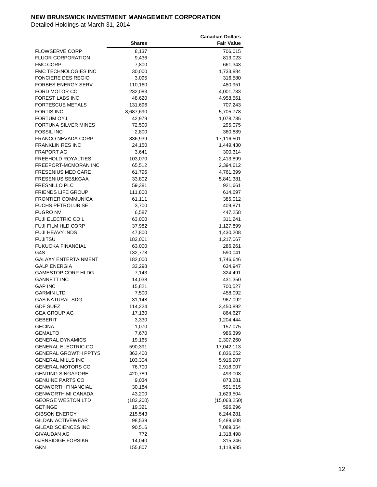|                             |               | <b>Canadian Dollars</b> |
|-----------------------------|---------------|-------------------------|
|                             | <b>Shares</b> | <b>Fair Value</b>       |
| <b>FLOWSERVE CORP</b>       | 8,137         | 706,015                 |
| <b>FLUOR CORPORATION</b>    | 9,436         | 813,023                 |
| <b>FMC CORP</b>             | 7,800         | 661,343                 |
| FMC TECHNOLOGIES INC        | 30,000        | 1,733,884               |
|                             |               |                         |
| FONCIERE DES REGIO          | 3,095         | 316,580                 |
| <b>FORBES ENERGY SERV</b>   | 110,160       | 480,951                 |
| FORD MOTOR CO               | 232,083       | 4,001,733               |
| FOREST LABS INC             | 48,620        | 4,958,561               |
| <b>FORTESCUE METALS</b>     | 131,696       | 707,243                 |
| <b>FORTIS INC</b>           | 8,687,690     | 5,705,778               |
| <b>FORTUM OYJ</b>           | 42,979        | 1,078,785               |
| FORTUNA SILVER MINES        | 72,500        | 295,075                 |
| <b>FOSSIL INC</b>           | 2,800         | 360,889                 |
| <b>FRANCO NEVADA CORP</b>   | 336,939       | 17,116,501              |
| <b>FRANKLIN RES INC</b>     | 24,150        | 1,449,430               |
| <b>FRAPORT AG</b>           | 3,641         | 300,314                 |
| <b>FREEHOLD ROYALTIES</b>   | 103,070       | 2,413,899               |
| FREEPORT-MCMORAN INC        | 65,512        | 2,394,612               |
| <b>FRESENIUS MED CARE</b>   | 61,796        | 4,761,399               |
| FRESENIUS SE&KGAA           | 33,802        | 5,841,381               |
| <b>FRESNILLO PLC</b>        | 59,381        | 921,661                 |
| <b>FRIENDS LIFE GROUP</b>   | 111,800       | 614,697                 |
|                             |               |                         |
| <b>FRONTIER COMMUNICA</b>   | 61,111        | 385,012                 |
| <b>FUCHS PETROLUB SE</b>    | 3,700         | 409,871                 |
| <b>FUGRO NV</b>             | 6,587         | 447,258                 |
| FUJI ELECTRIC CO L          | 63,000        | 311,241                 |
| <b>FUJI FILM HLD CORP</b>   | 37,982        | 1,127,899               |
| <b>FUJI HEAVY INDS</b>      | 47,800        | 1,430,208               |
| <b>FUJITSU</b>              | 182,001       | 1,217,067               |
| <b>FUKUOKA FINANCIAL</b>    | 63,000        | 286,261                 |
| G4S                         | 132,778       | 590,041                 |
| <b>GALAXY ENTERTAINMENT</b> | 182,000       | 1,746,646               |
| <b>GALP ENERGIA</b>         | 33,298        | 634,947                 |
| <b>GAMESTOP CORP HLDG</b>   | 7,143         | 324,491                 |
| <b>GANNETT INC</b>          | 14,038        | 431,350                 |
| <b>GAP INC</b>              | 15,821        | 700,527                 |
| <b>GARMIN LTD</b>           | 7,500         | 458,092                 |
| <b>GAS NATURAL SDG</b>      | 31,148        | 967,092                 |
| <b>GDF SUEZ</b>             | 114,224       | 3,450,892               |
| <b>GEA GROUP AG</b>         | 17,130        | 864,627                 |
| <b>GEBERIT</b>              | 3,330         | 1,204,444               |
| <b>GECINA</b>               | 1,070         | 157,075                 |
| <b>GEMALTO</b>              | 7,670         | 986,399                 |
| <b>GENERAL DYNAMICS</b>     | 19,165        | 2,307,260               |
| <b>GENERAL ELECTRIC CO</b>  |               |                         |
|                             | 590,391       | 17,042,113              |
| <b>GENERAL GROWTH PPTYS</b> | 363,400       | 8,836,652               |
| <b>GENERAL MILLS INC</b>    | 103,304       | 5,916,907               |
| <b>GENERAL MOTORS CO</b>    | 76,700        | 2,918,007               |
| <b>GENTING SINGAPORE</b>    | 420,789       | 493,008                 |
| <b>GENUINE PARTS CO</b>     | 9,034         | 873,281                 |
| <b>GENWORTH FINANCIAL</b>   | 30,184        | 591,515                 |
| <b>GENWORTH MI CANADA</b>   | 43,200        | 1,629,504               |
| <b>GEORGE WESTON LTD</b>    | (182, 200)    | (15,068,250)            |
| <b>GETINGE</b>              | 19,321        | 596,296                 |
| <b>GIBSON ENERGY</b>        | 215,543       | 6,244,281               |
| <b>GILDAN ACTIVEWEAR</b>    | 98,539        | 5,489,608               |
| GILEAD SCIENCES INC         | 90,516        | 7,089,354               |
| GIVAUDAN AG                 | 772           | 1,318,498               |
| <b>GJENSIDIGE FORSIKR</b>   | 14,040        | 315,246                 |
| <b>GKN</b>                  | 155,807       | 1,118,985               |
|                             |               |                         |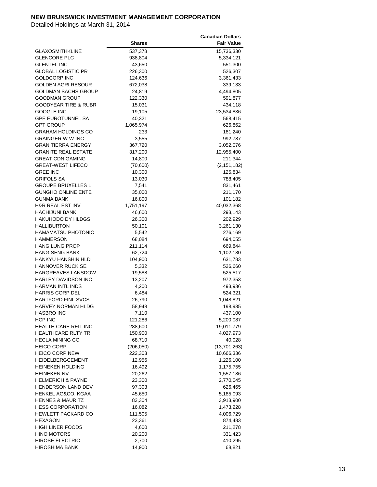|                                 |               | <b>Canadian Dollars</b> |
|---------------------------------|---------------|-------------------------|
|                                 | <b>Shares</b> | <b>Fair Value</b>       |
| <b>GLAXOSMITHKLINE</b>          | 537,378       | 15,736,330              |
| <b>GLENCORE PLC</b>             | 938,804       | 5,334,121               |
| <b>GLENTEL INC</b>              | 43,650        | 551,300                 |
| <b>GLOBAL LOGISTIC PR</b>       | 226,300       | 526,307                 |
| <b>GOLDCORP INC</b>             | 124,636       | 3,361,433               |
| GOLDEN AGRI RESOUR              | 672,038       | 339,133                 |
| <b>GOLDMAN SACHS GROUP</b>      | 24,819        | 4,494,805               |
| <b>GOODMAN GROUP</b>            | 122,330       | 591,877                 |
| <b>GOODYEAR TIRE &amp; RUBR</b> | 15,031        | 434,118                 |
| <b>GOOGLE INC</b>               | 19,105        | 23,534,836              |
| <b>GPE EUROTUNNEL SA</b>        | 40,321        | 568,415                 |
| <b>GPT GROUP</b>                | 1,065,974     | 626,862                 |
| <b>GRAHAM HOLDINGS CO</b>       | 233           | 181,240                 |
| <b>GRAINGER W W INC</b>         | 3,555         | 992,787                 |
| <b>GRAN TIERRA ENERGY</b>       | 367,720       | 3,052,076               |
| <b>GRANITE REAL ESTATE</b>      | 317,200       | 12,955,400              |
| <b>GREAT CDN GAMING</b>         | 14,800        | 211,344                 |
| <b>GREAT-WEST LIFECO</b>        | (70, 600)     | (2, 151, 182)           |
| <b>GREE INC</b>                 | 10,300        | 125,834                 |
| <b>GRIFOLS SA</b>               | 13,030        | 788,405                 |
| <b>GROUPE BRUXELLES L</b>       | 7,541         | 831,461                 |
| <b>GUNGHO ONLINE ENTE</b>       | 35,000        | 211,170                 |
| <b>GUNMA BANK</b>               | 16,800        | 101,182                 |
| <b>H&amp;R REAL EST INV</b>     | 1,751,197     | 40,032,368              |
| <b>HACHIJUNI BANK</b>           | 46,600        | 293,143                 |
| <b>HAKUHODO DY HLDGS</b>        | 26,300        | 202,929                 |
| <b>HALLIBURTON</b>              | 50,101        | 3,261,130               |
| <b>HAMAMATSU PHOTONIC</b>       | 5,542         | 276,169                 |
| HAMMERSON                       | 68,084        | 694,055                 |
| <b>HANG LUNG PROP</b>           | 211,114       | 669,844                 |
| <b>HANG SENG BANK</b>           | 62,724        | 1,102,180               |
| HANKYU HANSHIN HLD              | 104,900       | 631,783                 |
| <b>HANNOVER RUCK SE</b>         | 5,332         | 526,660                 |
| <b>HARGREAVES LANSDOW</b>       | 19,588        | 525,517                 |
| HARLEY DAVIDSON INC             | 13,207        | 972,353                 |
| <b>HARMAN INTL INDS</b>         | 4,200         | 493,936                 |
| <b>HARRIS CORP DEL</b>          | 6,484         | 524,321                 |
| <b>HARTFORD FINL SVCS</b>       | 26,790        | 1,048,821               |
| <b>HARVEY NORMAN HLDG</b>       | 58,948        | 198,985                 |
| <b>HASBRO INC</b>               | 7,110         | 437,100                 |
| HCP INC                         | 121,286       | 5,200,087               |
| <b>HEALTH CARE REIT INC</b>     | 288,600       | 19,011,779              |
| <b>HEALTHCARE RLTY TR</b>       | 150,900       | 4,027,973               |
| <b>HECLA MINING CO</b>          | 68,710        | 40,028                  |
| <b>HEICO CORP</b>               | (206, 050)    | (13,701,263)            |
| <b>HEICO CORP NEW</b>           | 222,303       | 10,666,336              |
| HEIDELBERGCEMENT                | 12,956        | 1,226,100               |
| <b>HEINEKEN HOLDING</b>         | 16,492        | 1,175,755               |
| <b>HEINEKEN NV</b>              | 20,262        | 1,557,186               |
| <b>HELMERICH &amp; PAYNE</b>    | 23,300        | 2,770,045               |
| <b>HENDERSON LAND DEV</b>       | 97,303        | 626,465                 |
| HENKEL AG&CO. KGAA              | 45,650        | 5,185,093               |
| <b>HENNES &amp; MAURITZ</b>     | 83,304        | 3,913,900               |
| <b>HESS CORPORATION</b>         | 16,082        | 1,473,228               |
| HEWLETT PACKARD CO              | 111,505       | 4,006,729               |
| <b>HEXAGON</b>                  | 23,361        | 874,483                 |
| <b>HIGH LINER FOODS</b>         | 4,600         | 211,278                 |
| <b>HINO MOTORS</b>              | 20,200        | 331,423                 |
| <b>HIROSE ELECTRIC</b>          | 2,700         | 410,295                 |
| <b>HIROSHIMA BANK</b>           | 14,900        | 68,821                  |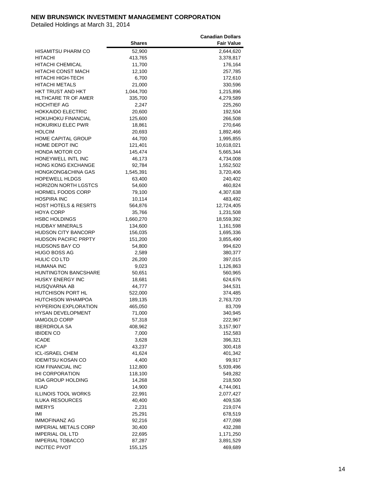|                                 |               | <b>Canadian Dollars</b> |
|---------------------------------|---------------|-------------------------|
|                                 | <b>Shares</b> | <b>Fair Value</b>       |
| HISAMITSU PHARM CO              | 52,900        | 2,644,620               |
| HITACHI                         | 413,765       | 3,378,817               |
| HITACHI CHEMICAL                | 11,700        | 176,164                 |
| HITACHI CONST MACH              | 12,100        | 257,785                 |
| HITACHI HIGH-TECH               | 6,700         | 172,610                 |
| <b>HITACHI METALS</b>           | 21,000        | 330,596                 |
| HKT TRUST AND HKT               | 1,044,700     | 1,215,896               |
| HLTHCARE TR OF AMER             |               |                         |
| <b>HOCHTIEF AG</b>              | 335,700       | 4,279,589               |
| <b>HOKKAIDO ELECTRIC</b>        | 2,247         | 225,260<br>192,504      |
| HOKUHOKU FINANCIAL              | 20,600        |                         |
|                                 | 125,600       | 266,508                 |
| <b>HOKURIKU ELEC PWR</b>        | 18,861        | 270,646                 |
| <b>HOLCIM</b>                   | 20,693        | 1,892,466               |
| <b>HOME CAPITAL GROUP</b>       | 44,700        | 1,995,855               |
| HOME DEPOT INC                  | 121,401       | 10,618,021              |
| HONDA MOTOR CO                  | 145,474       | 5,665,344               |
| HONEYWELL INTL INC              | 46,173        | 4,734,008               |
| <b>HONG KONG EXCHANGE</b>       | 92,784        | 1,552,502               |
| HONGKONG&CHINA GAS              | 1,545,391     | 3,720,406               |
| <b>HOPEWELL HLDGS</b>           | 63,400        | 240,402                 |
| <b>HORIZON NORTH LGSTCS</b>     | 54,600        | 460,824                 |
| <b>HORMEL FOODS CORP</b>        | 79,100        | 4,307,638               |
| <b>HOSPIRA INC</b>              | 10,114        | 483,492                 |
| <b>HOST HOTELS &amp; RESRTS</b> | 564,876       | 12,724,405              |
| HOYA CORP                       | 35,766        | 1,231,508               |
| <b>HSBC HOLDINGS</b>            | 1,660,270     | 18,559,392              |
| <b>HUDBAY MINERALS</b>          | 134,600       | 1,161,598               |
| <b>HUDSON CITY BANCORP</b>      | 156,035       | 1,695,336               |
| <b>HUDSON PACIFIC PRPTY</b>     | 151,200       | 3,855,490               |
| <b>HUDSONS BAY CO</b>           | 54,800        | 994,620                 |
| <b>HUGO BOSS AG</b>             | 2,589         | 380,377                 |
| HULIC CO LTD                    | 26,200        | 397,015                 |
| <b>HUMANA INC</b>               | 9,023         | 1,126,863               |
| <b>HUNTINGTON BANCSHARE</b>     | 50,651        | 560,965                 |
| <b>HUSKY ENERGY INC</b>         | 18,681        | 624,676                 |
| HUSQVARNA AB                    | 44,777        | 344,531                 |
| HUTCHISON PORT HL               | 522,000       | 374,485                 |
| <b>HUTCHISON WHAMPOA</b>        | 189,135       | 2,763,720               |
| <b>HYPERION EXPLORATION</b>     | 465,050       | 83,709                  |
| <b>HYSAN DEVELOPMENT</b>        | 71,000        | 340,945                 |
| <b>IAMGOLD CORP</b>             | 57,318        | 222,967                 |
| <b>IBERDROLA SA</b>             | 408,962       | 3,157,907               |
| <b>IBIDEN CO</b>                | 7,000         | 152,583                 |
| <b>ICADE</b>                    | 3,628         | 396,321                 |
| <b>ICAP</b>                     | 43,237        | 300,418                 |
| ICL-ISRAEL CHEM                 | 41,624        | 401,342                 |
| <b>IDEMITSU KOSAN CO</b>        | 4,400         | 99,917                  |
| <b>IGM FINANCIAL INC</b>        | 112,800       | 5,939,496               |
| <b>IHI CORPORATION</b>          | 118,100       | 549,282                 |
| <b>IIDA GROUP HOLDING</b>       | 14,268        | 218,500                 |
| <b>ILIAD</b>                    | 14,900        | 4,744,061               |
| <b>ILLINOIS TOOL WORKS</b>      | 22,991        | 2,077,427               |
| <b>ILUKA RESOURCES</b>          | 40,400        | 409,536                 |
| <b>IMERYS</b>                   | 2,231         | 219,074                 |
| IMI                             | 25,291        | 678,519                 |
| <b>IMMOFINANZ AG</b>            | 92,216        | 477,098                 |
| <b>IMPERIAL METALS CORP</b>     | 30,400        | 432,288                 |
| <b>IMPERIAL OIL LTD</b>         | 22,695        | 1,171,250               |
| <b>IMPERIAL TOBACCO</b>         | 87,287        | 3,891,529               |
| <b>INCITEC PIVOT</b>            | 155,125       | 469,689                 |
|                                 |               |                         |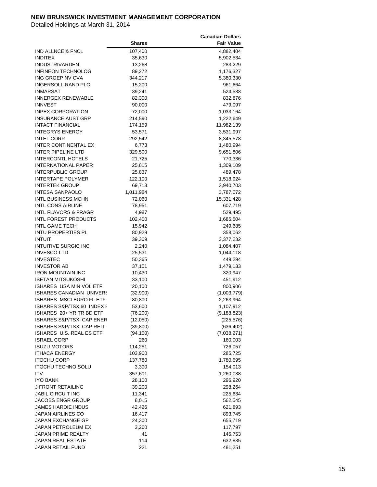|                                 |               | <b>Canadian Dollars</b> |
|---------------------------------|---------------|-------------------------|
|                                 | <b>Shares</b> | <b>Fair Value</b>       |
| IND ALLNCE & FNCL               | 107,400       | 4,882,404               |
| <b>INDITEX</b>                  | 35,630        | 5,902,534               |
| INDUSTRIVARDEN                  | 13,268        | 283,229                 |
| <b>INFINEON TECHNOLOG</b>       | 89,272        | 1,176,327               |
| ING GROEP NV CVA                | 344,217       | 5,380,330               |
| INGERSOLL-RAND PLC              |               |                         |
|                                 | 15,200        | 961,664                 |
| <b>INMARSAT</b>                 | 39,241        | 524,583                 |
| <b>INNERGEX RENEWABLE</b>       | 82,300        | 832,876                 |
| <b>INNVEST</b>                  | 90,000        | 479,097                 |
| <b>INPEX CORPORATION</b>        | 72,000        | 1,033,164               |
| <b>INSURANCE AUST GRP</b>       | 214,590       | 1,222,649               |
| <b>INTACT FINANCIAL</b>         | 174,159       | 11,982,139              |
| <b>INTEGRYS ENERGY</b>          | 53,571        | 3,531,997               |
| <b>INTEL CORP</b>               | 292,542       | 8,345,578               |
| INTER CONTINENTAL EX            | 6,773         | 1,480,994               |
| INTER PIPELINE LTD              | 329,500       | 9,651,806               |
| <b>INTERCONTL HOTELS</b>        | 21,725        | 770,336                 |
| <b>INTERNATIONAL PAPER</b>      | 25,815        | 1,309,109               |
| <b>INTERPUBLIC GROUP</b>        | 25,837        | 489,478                 |
| <b>INTERTAPE POLYMER</b>        | 122,100       | 1,518,924               |
| <b>INTERTEK GROUP</b>           | 69,713        | 3,940,703               |
| INTESA SANPAOLO                 | 1,011,984     | 3,787,072               |
| <b>INTL BUSINESS MCHN</b>       | 72,060        | 15,331,428              |
| <b>INTL CONS AIRLINE</b>        | 78,951        | 607,719                 |
| INTL FLAVORS & FRAGR            | 4,987         | 529,495                 |
| INTL FOREST PRODUCTS            |               |                         |
|                                 | 102,400       | 1,685,504               |
| INTL GAME TECH                  | 15,942        | 249,685                 |
| INTU PROPERTIES PL              | 80,929        | 358,062                 |
| INTUIT                          | 39,309        | 3,377,232               |
| INTUITIVE SURGIC INC            | 2,240         | 1,084,407               |
| <b>INVESCO LTD</b>              | 25,531        | 1,044,118               |
| <b>INVESTEC</b>                 | 50,365        | 449,294                 |
| <b>INVESTOR AB</b>              | 37,101        | 1,479,133               |
| <b>IRON MOUNTAIN INC</b>        | 10,430        | 320,947                 |
| <b>ISETAN MITSUKOSHI</b>        | 33,100        | 451,912                 |
| ISHARES USA MIN VOL ETF         | 20,100        | 800,906                 |
| ISHARES CANADIAN UNIVERS        | (32,900)      | (1,003,779)             |
| <b>ISHARES MSCI EURO FL ETF</b> | 80,800        | 2,263,964               |
| ISHARES S&P/TSX 60 INDEX I      | 53,600        | 1,107,912               |
| ISHARES 20+ YR TR BD ETF        | (76, 200)     | (9, 188, 823)           |
| ISHARES S&P/TSX CAP ENER        | (12,050)      | (225, 576)              |
| ISHARES S&P/TSX CAP REIT        | (39, 800)     | (636, 402)              |
| ISHARES U.S. REAL ES ETF        | (94, 100)     | (7,038,271)             |
| <b>ISRAEL CORP</b>              | 260           | 160,003                 |
| ISUZU MOTORS                    | 114,251       | 726,057                 |
| <b>ITHACA ENERGY</b>            | 103,900       | 285,725                 |
| <b>ITOCHU CORP</b>              | 137,780       | 1,780,695               |
| <b>ITOCHU TECHNO SOLU</b>       | 3,300         | 154,013                 |
| <b>ITV</b>                      | 357,601       | 1,260,038               |
| <b>IYO BANK</b>                 | 28,100        | 296,920                 |
| J FRONT RETAILING               | 39,200        | 298,264                 |
|                                 |               |                         |
| JABIL CIRCUIT INC               | 11,341        | 225,634                 |
| JACOBS ENGR GROUP               | 8,015         | 562,545                 |
| <b>JAMES HARDIE INDUS</b>       | 42,426        | 621,893                 |
| JAPAN AIRLINES CO               | 16,417        | 893,745                 |
| JAPAN EXCHANGE GP               | 24,300        | 655,719                 |
| JAPAN PETROLEUM EX              | 3,200         | 117,797                 |
| <b>JAPAN PRIME REALTY</b>       | 41            | 146,753                 |
| JAPAN REAL ESTATE               | 114           | 632,835                 |
| JAPAN RETAIL FUND               | 221           | 481,251                 |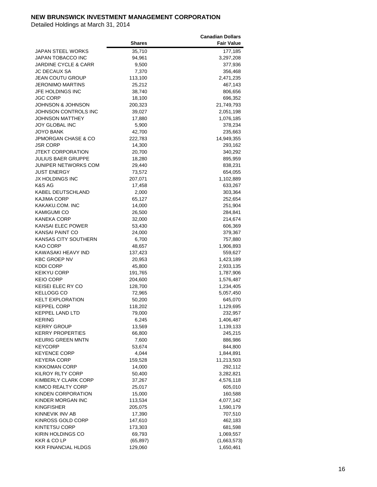|                            |               | <b>Canadian Dollars</b> |
|----------------------------|---------------|-------------------------|
|                            | <b>Shares</b> | <b>Fair Value</b>       |
| JAPAN STEEL WORKS          | 35,710        | 177,185                 |
| JAPAN TOBACCO INC          | 94,961        | 3,297,208               |
| JARDINE CYCLE & CARR       | 9,500         | 377,936                 |
| <b>JC DECAUX SA</b>        | 7,370         | 356,468                 |
| <b>JEAN COUTU GROUP</b>    |               |                         |
|                            | 113,100       | 2,471,235               |
| JERONIMO MARTINS           | 25,212        | 467,143                 |
| JFE HOLDINGS INC           | 38,740        | 806,656                 |
| JGC CORP                   | 18,100        | 696,352                 |
| JOHNSON & JOHNSON          | 200,323       | 21,749,793              |
| JOHNSON CONTROLS INC       | 39,027        | 2,051,198               |
| <b>JOHNSON MATTHEY</b>     | 17,880        | 1,076,185               |
| JOY GLOBAL INC             | 5,900         | 378,234                 |
| JOYO BANK                  | 42,700        | 235,663                 |
| JPMORGAN CHASE & CO        | 222,783       | 14,949,355              |
| <b>JSR CORP</b>            | 14,300        | 293,162                 |
| <b>JTEKT CORPORATION</b>   | 20,700        | 340,292                 |
| <b>JULIUS BAER GRUPPE</b>  | 18,280        | 895,959                 |
| JUNIPER NETWORKS COM       | 29,440        | 838,231                 |
| JUST ENERGY                | 73,572        | 654,055                 |
| JX HOLDINGS INC            | 207,071       | 1,102,889               |
| K&S AG                     | 17,458        | 633,267                 |
| KABEL DEUTSCHLAND          | 2,000         | 303,364                 |
| <b>KAJIMA CORP</b>         | 65,127        | 252,654                 |
| KAKAKU.COM. INC            | 14,000        | 251,904                 |
| <b>KAMIGUMI CO</b>         |               |                         |
|                            | 26,500        | 284,841                 |
| KANEKA CORP                | 32,000        | 214,674                 |
| KANSAI ELEC POWER          | 53,430        | 606,369                 |
| KANSAI PAINT CO            | 24,000        | 379,367                 |
| KANSAS CITY SOUTHERN       | 6,700         | 757,880                 |
| KAO CORP                   | 48,657        | 1,906,893               |
| KAWASAKI HEAVY IND         | 137,423       | 559,627                 |
| <b>KBC GROEP NV</b>        | 20,953        | 1,423,189               |
| <b>KDDI CORP</b>           | 45,800        | 2,933,135               |
| KEIKYU CORP                | 191,765       | 1,787,906               |
| KEIO CORP                  | 204,600       | 1,576,487               |
| KEISEI ELEC RY CO          | 128,700       | 1,234,405               |
| KELLOGG CO                 | 72,965        | 5,057,450               |
| <b>KELT EXPLORATION</b>    | 50,200        | 645,070                 |
| <b>KEPPEL CORP</b>         | 118,202       | 1,129,695               |
| <b>KEPPEL LAND LTD</b>     | 79,000        | 232,957                 |
| KERING                     | 6,245         | 1,406,487               |
| <b>KERRY GROUP</b>         | 13,569        | 1,139,133               |
| <b>KERRY PROPERTIES</b>    | 66,800        | 245,215                 |
| KEURIG GREEN MNTN          | 7,600         | 886,986                 |
| KEYCORP                    | 53,674        | 844,800                 |
| <b>KEYENCE CORP</b>        | 4,044         | 1,844,891               |
| <b>KEYERA CORP</b>         | 159,528       | 11,213,503              |
| KIKKOMAN CORP              | 14,000        | 292,112                 |
| KILROY RLTY CORP           | 50,400        | 3,282,821               |
| <b>KIMBERLY CLARK CORP</b> |               |                         |
|                            | 37,267        | 4,576,118               |
| KIMCO REALTY CORP          | 25,017        | 605,010                 |
| KINDEN CORPORATION         | 15,000        | 160,588                 |
| KINDER MORGAN INC          | 113,534       | 4,077,142               |
| KINGFISHER                 | 205,075       | 1,590,179               |
| KINNEVIK INV AB            | 17,390        | 707,510                 |
| KINROSS GOLD CORP          | 147,610       | 462,183                 |
| <b>KINTETSU CORP</b>       | 173,303       | 681,598                 |
| KIRIN HOLDINGS CO          | 69,793        | 1,069,557               |
| <b>KKR &amp; CO LP</b>     | (65, 897)     | (1,663,573)             |
| <b>KKR FINANCIAL HLDGS</b> | 129,060       | 1,650,461               |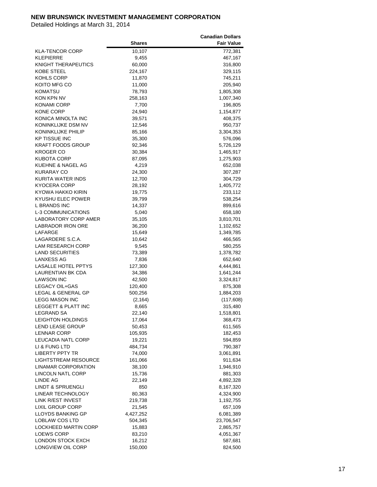|                                |               | <b>Canadian Dollars</b> |
|--------------------------------|---------------|-------------------------|
|                                | <b>Shares</b> | <b>Fair Value</b>       |
| KLA-TENCOR CORP                | 10,107        | 772,381                 |
| KLEPIERRE                      | 9,455         | 467,167                 |
| KNIGHT THERAPEUTICS            | 60,000        | 316,800                 |
| KOBE STEEL                     | 224,167       | 329,115                 |
| KOHLS CORP                     | 11,870        | 745,211                 |
| KOITO MFG CO                   | 11,000        | 205,940                 |
| KOMATSU                        | 78,793        | 1,805,308               |
| KON KPN NV                     | 258,163       | 1,007,340               |
| KONAMI CORP                    | 7,700         |                         |
| KONE CORP                      |               | 196,805<br>1,154,877    |
| KONICA MINOLTA INC             | 24,940        |                         |
|                                | 39,571        | 408,375                 |
| KONINKLIJKE DSM NV             | 12,546        | 950,737                 |
| KONINKLIJKE PHILIP             | 85,166        | 3,304,353               |
| <b>KP TISSUE INC</b>           | 35,300        | 576,096                 |
| KRAFT FOODS GROUP              | 92,346        | 5,726,129               |
| <b>KROGER CO</b>               | 30,384        | 1,465,917               |
| KUBOTA CORP                    | 87,095        | 1,275,903               |
| KUEHNE & NAGEL AG              | 4,219         | 652,038                 |
| KURARAY CO                     | 24,300        | 307,287                 |
| KURITA WATER INDS              | 12,700        | 304,729                 |
| KYOCERA CORP                   | 28,192        | 1,405,772               |
| KYOWA HAKKO KIRIN              | 19,775        | 233,112                 |
| KYUSHU ELEC POWER              | 39,799        | 538,254                 |
| L BRANDS INC                   | 14,337        | 899,616                 |
| <b>L-3 COMMUNICATIONS</b>      | 5,040         | 658,180                 |
| <b>LABORATORY CORP AMER</b>    | 35,105        | 3,810,701               |
| <b>LABRADOR IRON ORE</b>       | 36,200        | 1,102,652               |
| LAFARGE                        | 15,649        | 1,349,785               |
| LAGARDERE S.C.A.               | 10,642        | 466,565                 |
| LAM RESEARCH CORP              | 9,545         | 580,255                 |
| <b>LAND SECURITIES</b>         | 73,389        | 1,378,782               |
| <b>LANXESS AG</b>              | 7,836         | 652,640                 |
| <b>LASALLE HOTEL PPTYS</b>     | 127,300       | 4,444,861               |
| <b>LAURENTIAN BK CDA</b>       | 34,386        | 1,641,244               |
| <b>LAWSON INC</b>              | 42,500        | 3,324,817               |
| LEGACY OIL+GAS                 | 120,400       | 875,308                 |
| LEGAL & GENERAL GP             | 500,256       | 1,884,203               |
| <b>LEGG MASON INC</b>          | (2, 164)      | (117, 608)              |
| <b>LEGGETT &amp; PLATT INC</b> | 8,665         | 315,480                 |
| <b>LEGRAND SA</b>              | 22,140        | 1,518,801               |
| LEIGHTON HOLDINGS              | 17,064        | 368,473                 |
| <b>LEND LEASE GROUP</b>        | 50,453        | 611,565                 |
| <b>LENNAR CORP</b>             | 105,935       | 182,453                 |
| LEUCADIA NATL CORP             | 19,221        | 594,859                 |
| LI & FUNG LTD                  | 484,734       | 790,387                 |
| LIBERTY PPTY TR                | 74,000        | 3,061,891               |
| <b>LIGHTSTREAM RESOURCE</b>    | 161,066       | 911,634                 |
| <b>LINAMAR CORPORATION</b>     | 38,100        | 1,946,910               |
| LINCOLN NATL CORP              | 15,736        | 881,303                 |
| <b>LINDE AG</b>                | 22,149        | 4,892,328               |
| <b>LINDT &amp; SPRUENGLI</b>   | 850           | 8,167,320               |
| LINEAR TECHNOLOGY              | 80,363        | 4,324,900               |
| LINK R/EST INVEST              | 219,738       | 1,192,755               |
| <b>LIXIL GROUP CORP</b>        | 21,545        | 657,109                 |
| LLOYDS BANKING GP              |               |                         |
|                                | 4,427,252     | 6,081,389               |
| LOBLAW COS LTD                 | 504,345       | 23,706,547              |
| LOCKHEED MARTIN CORP           | 15,883        | 2,865,757               |
| <b>LOEWS CORP</b>              | 83,210        | 4,051,367               |
| LONDON STOCK EXCH              | 16,212        | 587,681                 |
| LONGVIEW OIL CORP              | 150,000       | 824,500                 |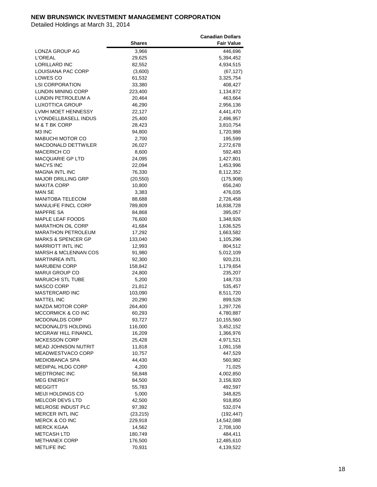|                                              |               | <b>Canadian Dollars</b> |
|----------------------------------------------|---------------|-------------------------|
|                                              | <b>Shares</b> | <b>Fair Value</b>       |
| LONZA GROUP AG                               | 3,966         | 446,696                 |
| <b>L'OREAL</b>                               | 29,625        | 5,394,452               |
| <b>LORILLARD INC</b>                         | 82,552        | 4,934,515               |
| LOUISIANA PAC CORP                           | (3,600)       | (67, 127)               |
| LOWES CO                                     | 61,532        | 3,325,754               |
| <b>LSI CORPORATION</b>                       | 33,380        | 408,427                 |
| LUNDIN MINING CORP                           | 223,400       |                         |
|                                              |               | 1,134,872               |
| LUNDIN PETROLEUM A<br><b>LUXOTTICA GROUP</b> | 20,464        | 463,664                 |
|                                              | 46,290        | 2,956,136               |
| LVMH MOET HENNESSY                           | 22,127        | 4,441,470               |
| <b>LYONDELLBASELL INDUS</b>                  | 25,400        | 2,496,957               |
| M & T BK CORP                                | 28,423        | 3,810,754               |
| M3 INC                                       | 94,800        | 1,720,988               |
| MABUCHI MOTOR CO                             | 2,700         | 195,599                 |
| <b>MACDONALD DETTWILER</b>                   | 26,027        | 2,272,678               |
| <b>MACERICH CO</b>                           | 8,600         | 592,483                 |
| MACQUARIE GP LTD                             | 24,095        | 1,427,801               |
| <b>MACYS INC</b>                             | 22,094        | 1,453,996               |
| <b>MAGNA INTL INC</b>                        | 76,330        | 8,112,352               |
| <b>MAJOR DRILLING GRP</b>                    | (20, 550)     | (175,908)               |
| MAKITA CORP                                  | 10,800        | 656,240                 |
| MAN SE                                       | 3,383         | 476,035                 |
| MANITOBA TELECOM                             | 88,688        | 2,726,458               |
| <b>MANULIFE FINCL CORP</b>                   | 789,809       | 16,838,728              |
| MAPFRE SA                                    | 84,868        | 395,057                 |
| MAPLE LEAF FOODS                             | 76,600        | 1,348,926               |
| <b>MARATHON OIL CORP</b>                     | 41,684        | 1,636,525               |
| <b>MARATHON PETROLEUM</b>                    | 17,292        | 1,663,582               |
| <b>MARKS &amp; SPENCER GP</b>                | 133,040       | 1,105,296               |
| <b>MARRIOTT INTL INC</b>                     | 12,993        | 804,512                 |
| <b>MARSH &amp; MCLENNAN COS</b>              | 91,980        | 5,012,109               |
| <b>MARTINREA INTL</b>                        | 92,300        | 920,231                 |
| <b>MARUBENI CORP</b>                         | 158,842       | 1,179,654               |
| <b>MARUI GROUP CO</b>                        | 24,800        | 235,207                 |
| <b>MARUICHI STL TUBE</b>                     | 5,200         | 148,733                 |
| MASCO CORP                                   | 21,812        | 535,457                 |
| <b>MASTERCARD INC</b>                        | 103,090       | 8,511,720               |
| <b>MATTEL INC</b>                            | 20,290        | 899,528                 |
| MAZDA MOTOR CORP                             | 264,400       | 1,297,726               |
| MCCORMICK & CO INC                           | 60,293        | 4,780,887               |
| MCDONALDS CORP                               | 93,727        | 10,155,560              |
| MCDONALD'S HOLDING                           | 116,000       | 3,452,152               |
| MCGRAW HILL FINANCL                          | 16,209        | 1,366,976               |
| <b>MCKESSON CORP</b>                         | 25,428        | 4,971,521               |
| <b>MEAD JOHNSON NUTRIT</b>                   | 11,818        | 1,091,158               |
| MEADWESTVACO CORP                            | 10,757        | 447,529                 |
| <b>MEDIOBANCA SPA</b>                        | 44,430        | 560,982                 |
| <b>MEDIPAL HLDG CORP</b>                     | 4,200         | 71,025                  |
| <b>MEDTRONIC INC</b>                         | 58,848        | 4,002,850               |
| <b>MEG ENERGY</b>                            | 84,500        | 3,156,920               |
| <b>MEGGITT</b>                               | 55,783        | 492,597                 |
| MEIJI HOLDINGS CO                            | 5,000         | 348,825                 |
| MELCOR DEVS LTD                              | 42,500        | 918,850                 |
| MELROSE INDUST PLC                           | 97,392        | 532,074                 |
| MERCER INTL INC                              | (23, 215)     | (192, 447)              |
| <b>MERCK &amp; CO INC</b>                    | 229,918       | 14,542,088              |
| MERCK KGAA                                   |               |                         |
| <b>METCASH LTD</b>                           | 14,562        | 2,708,100               |
| <b>METHANEX CORP</b>                         | 180,749       | 484,411                 |
| <b>METLIFE INC</b>                           | 176,500       | 12,485,610              |
|                                              | 70,931        | 4,139,522               |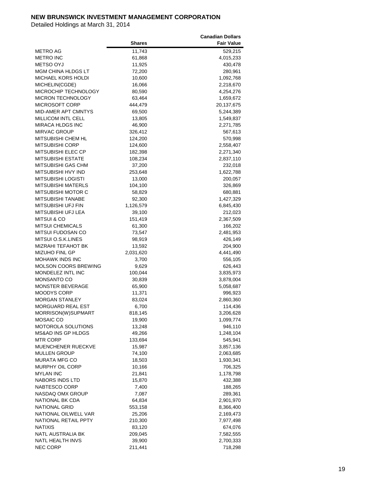|                             |               | <b>Canadian Dollars</b> |
|-----------------------------|---------------|-------------------------|
|                             | <b>Shares</b> | <b>Fair Value</b>       |
| METRO AG                    | 11,743        | 529,215                 |
| <b>METRO INC</b>            | 61,868        | 4,015,233               |
| METSO OYJ                   | 11,925        | 430,478                 |
| <b>MGM CHINA HLDGS LT</b>   | 72,200        | 280,961                 |
| MICHAEL KORS HOLDI          | 10,600        | 1,092,768               |
| MICHELIN(CGDE)              | 16,066        | 2,218,670               |
| MICROCHIP TECHNOLOGY        | 80,590        | 4,254,276               |
| <b>MICRON TECHNOLOGY</b>    | 63,464        | 1,659,672               |
| MICROSOFT CORP              | 444,479       |                         |
| MID-AMER APT CMNTYS         | 69,500        | 20,137,675              |
| <b>MILLICOM INTL CELL</b>   |               | 5,244,389               |
|                             | 13,805        | 1,549,837               |
| <b>MIRACA HLDGS INC</b>     | 46,900        | 2,271,785               |
| <b>MIRVAC GROUP</b>         | 326,412       | 567,613                 |
| MITSUBISHI CHEM HL          | 124,200       | 570,998                 |
| MITSUBISHI CORP             | 124,600       | 2,558,407               |
| MITSUBISHI ELEC CP          | 182,398       | 2,271,340               |
| MITSUBISHI ESTATE           | 108,234       | 2,837,110               |
| MITSUBISHI GAS CHM          | 37,200        | 232,018                 |
| MITSUBISHI HVY IND          | 253,648       | 1,622,788               |
| MITSUBISHI LOGISTI          | 13,000        | 200,057                 |
| <b>MITSUBISHI MATERLS</b>   | 104,100       | 326,869                 |
| MITSUBISHI MOTOR C          | 58,829        | 680,881                 |
| MITSUBISHI TANABE           | 92,300        | 1,427,329               |
| MITSUBISHI UFJ FIN          | 1,126,579     | 6,845,430               |
| MITSUBISHI UFJ LEA          | 39,100        | 212,023                 |
| MITSUI & CO                 | 151,419       | 2,367,509               |
| <b>MITSUI CHEMICALS</b>     | 61,300        | 166,202                 |
| MITSUI FUDOSAN CO           | 73,547        | 2,481,953               |
| MITSUI O.S.K.LINES          | 98,919        | 426,149                 |
| MIZRAHI TEFAHOT BK          | 13,592        | 204,900                 |
| MIZUHO FINL GP              | 2,031,620     | 4,441,490               |
| MOHAWK INDS INC             | 3,700         | 556,105                 |
| <b>MOLSON COORS BREWING</b> | 9,629         | 626,443                 |
| MONDELEZ INTL INC           | 100,044       | 3,835,973               |
| <b>MONSANTO CO</b>          | 30,839        | 3,878,004               |
| MONSTER BEVERAGE            | 65,900        | 5,058,687               |
| MOODYS CORP                 | 11,371        | 996,923                 |
| <b>MORGAN STANLEY</b>       | 83,024        | 2,860,360               |
| MORGUARD REAL EST           | 6,700         | 114,436                 |
| MORRISON(W)SUPMART          | 818,145       | 3,206,628               |
| MOSAIC CO                   | 19,900        | 1,099,774               |
| MOTOROLA SOLUTIONS          | 13,248        | 946,110                 |
| MS&AD INS GP HLDGS          | 49,266        | 1,248,104               |
| <b>MTR CORP</b>             | 133,694       | 545,941                 |
| MUENCHENER RUECKVE          | 15,987        | 3,857,136               |
| <b>MULLEN GROUP</b>         | 74,100        | 2,063,685               |
| <b>MURATA MFG CO</b>        | 18,503        | 1,930,341               |
| MURPHY OIL CORP             | 10,166        | 706,325                 |
| <b>MYLAN INC</b>            | 21,841        | 1,178,798               |
| NABORS INDS LTD             | 15,870        | 432,388                 |
| NABTESCO CORP               | 7,400         | 188,265                 |
|                             |               |                         |
| NASDAQ OMX GROUP            | 7,087         | 289,361                 |
| NATIONAL BK CDA             | 64,834        | 2,901,970               |
| <b>NATIONAL GRID</b>        | 553,158       | 8,366,400               |
| NATIONAL OILWELL VAR        | 25,206        | 2,169,473               |
| NATIONAL RETAIL PPTY        | 210,300       | 7,977,498               |
| NATIXIS                     | 83,120        | 674,076                 |
| NATL AUSTRALIA BK           | 209,045       | 7,582,555               |
| NATL HEALTH INVS            | 39,900        | 2,700,333               |
| <b>NEC CORP</b>             | 211,441       | 718,298                 |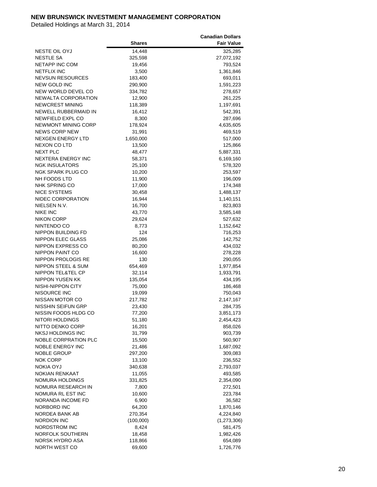|                               |               | <b>Canadian Dollars</b> |
|-------------------------------|---------------|-------------------------|
|                               | <b>Shares</b> | <b>Fair Value</b>       |
| <b>NESTE OIL OYJ</b>          | 14,448        | 325,285                 |
| <b>NESTLE SA</b>              | 325,598       | 27,072,192              |
| <b>NETAPP INC COM</b>         | 19,456        | 793,524                 |
| <b>NETFLIX INC</b>            | 3,500         | 1,361,846               |
| <b>NEVSUN RESOURCES</b>       | 183,400       | 693,011                 |
| NEW GOLD INC                  | 290,900       | 1,591,223               |
| NEW WORLD DEVEL CO            | 334,782       | 278,657                 |
| <b>NEWALTA CORPORATION</b>    | 12,900        | 261,225                 |
| <b>NEWCREST MINING</b>        | 118,389       | 1,197,691               |
| NEWELL RUBBERMAID IN          | 16,412        | 542,391                 |
| <b>NEWFIELD EXPL CO</b>       | 8,300         | 287,696                 |
| NEWMONT MINING CORP           | 178,924       | 4,635,605               |
| <b>NEWS CORP NEW</b>          |               |                         |
|                               | 31,991        | 469,519                 |
| NEXGEN ENERGY LTD             | 1,650,000     | 517,000                 |
| <b>NEXON CO LTD</b>           | 13,500        | 125,866                 |
| <b>NEXT PLC</b>               | 48,477        | 5,887,331               |
| NEXTERA ENERGY INC            | 58,371        | 6,169,160               |
| <b>NGK INSULATORS</b>         | 25,100        | 578,320                 |
| NGK SPARK PLUG CO             | 10,200        | 253,597                 |
| NH FOODS LTD                  | 11,900        | 196,009                 |
| NHK SPRING CO                 | 17,000        | 174,348                 |
| NICE SYSTEMS                  | 30,458        | 1,488,137               |
| NIDEC CORPORATION             | 16,944        | 1,140,151               |
| NIELSEN N.V.                  | 16,700        | 823,803                 |
| <b>NIKE INC</b>               | 43,770        | 3,585,148               |
| <b>NIKON CORP</b>             | 29,624        | 527,632                 |
| NINTENDO CO                   | 8,773         | 1,152,642               |
| NIPPON BUILDING FD            | 124           | 716,253                 |
| NIPPON ELEC GLASS             | 25,086        | 142,752                 |
| NIPPON EXPRESS CO             | 80,200        | 434,032                 |
| NIPPON PAINT CO               | 16,600        | 278,228                 |
| NIPPON PROLOGIS RE            | 130           | 290,055                 |
| <b>NIPPON STEEL &amp; SUM</b> | 654,469       | 1,977,854               |
| NIPPON TEL&TEL CP             | 32,114        | 1,933,791               |
| <b>NIPPON YUSEN KK</b>        | 135,054       | 434,195                 |
| NISHI-NIPPON CITY             | 75,000        | 186,468                 |
| NISOURCE INC                  | 19,099        | 750,043                 |
| NISSAN MOTOR CO               | 217,782       | 2,147,167               |
| NISSHIN SEIFUN GRP            | 23,430        | 284,735                 |
| NISSIN FOODS HLDG CO          | 77,200        | 3,851,173               |
| NITORI HOLDINGS               | 51,180        | 2,454,423               |
| NITTO DENKO CORP              | 16,201        | 858,026                 |
| NKSJ HOLDINGS INC             | 31,799        | 903,739                 |
| NOBLE CORPRATION PLC          | 15,500        | 560,907                 |
| NOBLE ENERGY INC              | 21,486        | 1,687,092               |
| NOBLE GROUP                   | 297,200       | 309,083                 |
| <b>NOK CORP</b>               | 13,100        | 236,552                 |
| NOKIA OYJ                     | 340,638       | 2,793,037               |
| NOKIAN RENKAAT                |               | 493,585                 |
|                               | 11,055        |                         |
| NOMURA HOLDINGS               | 331,825       | 2,354,090               |
| NOMURA RESEARCH IN            | 7,800         | 272,501                 |
| NOMURA RL EST INC             | 10,600        | 223,784                 |
| NORANDA INCOME FD             | 6,900         | 36,582                  |
| NORBORD INC                   | 64,200        | 1,870,146               |
| NORDEA BANK AB                | 270,354       | 4,224,840               |
| <b>NORDION INC</b>            | (100,000)     | (1,273,306)             |
| NORDSTROM INC                 | 8,424         | 581,475                 |
| NORFOLK SOUTHERN              | 18,458        | 1,982,426               |
| NORSK HYDRO ASA               | 118,866       | 654,089                 |
| NORTH WEST CO                 | 69,600        | 1,726,776               |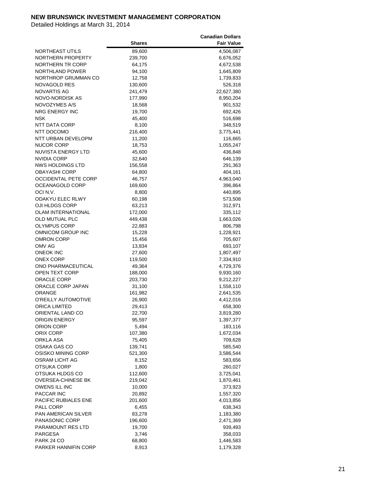|                           |               | <b>Canadian Dollars</b> |
|---------------------------|---------------|-------------------------|
|                           | <b>Shares</b> | <b>Fair Value</b>       |
| NORTHEAST UTILS           | 89,600        | 4,506,087               |
| NORTHERN PROPERTY         | 239,700       | 6,676,052               |
| NORTHERN TR CORP          | 64,175        | 4,672,538               |
| NORTHLAND POWER           | 94,100        | 1,645,809               |
| NORTHROP GRUMMAN CO       | 12,758        | 1,739,833               |
| NOVAGOLD RES              | 130,600       | 526,318                 |
| NOVARTIS AG               | 241,479       | 22,627,380              |
| NOVO-NORDISK AS           | 177,990       | 8,950,204               |
| NOVOZYMES A/S             | 18,568        | 901,532                 |
| <b>NRG ENERGY INC</b>     |               | 692,426                 |
| <b>NSK</b>                | 19,700        |                         |
|                           | 45,400        | 516,698                 |
| NTT DATA CORP             | 8,100         | 348,519                 |
| NTT DOCOMO                | 216,400       | 3,775,441               |
| NTT URBAN DEVELOPM        | 11,200        | 116,665                 |
| NUCOR CORP                | 18,753        | 1,055,247               |
| NUVISTA ENERGY LTD        | 45,600        | 436,848                 |
| NVIDIA CORP               | 32,640        | 646,139                 |
| NWS HOLDINGS LTD          | 156,558       | 291,363                 |
| OBAYASHI CORP             | 64,800        | 404,161                 |
| OCCIDENTAL PETE CORP      | 46,757        | 4,963,040               |
| OCEANAGOLD CORP           | 169,600       | 396,864                 |
| OCI N.V.                  | 8,800         | 440,895                 |
| ODAKYU ELEC RLWY          | 60,198        | 573,508                 |
| OJI HLDGS CORP            | 63,213        | 312,971                 |
| <b>OLAM INTERNATIONAL</b> | 172,000       | 335,112                 |
| OLD MUTUAL PLC            | 449,438       | 1,663,026               |
| OLYMPUS CORP              | 22,883        | 806,798                 |
| OMNICOM GROUP INC         | 15,228        | 1,228,921               |
| OMRON CORP                | 15,456        | 705,607                 |
| OMV AG                    | 13,834        | 693,107                 |
| ONEOK INC                 | 27,600        | 1,807,497               |
| <b>ONEX CORP</b>          | 119,500       | 7,334,910               |
| ONO PHARMACEUTICAL        | 49,364        | 4,729,376               |
| <b>OPEN TEXT CORP</b>     | 188,000       | 9,930,160               |
| <b>ORACLE CORP</b>        | 203,730       | 9,212,227               |
| ORACLE CORP JAPAN         | 31,100        | 1,558,110               |
| ORANGE                    | 161,982       | 2,641,535               |
| O'REILLY AUTOMOTIVE       | 26,900        | 4,412,016               |
| ORICA LIMITED             | 29,413        | 658,300                 |
| ORIENTAL LAND CO          | 22,700        | 3,819,280               |
| ORIGIN ENERGY             | 95,597        | 1,397,377               |
| ORION CORP                | 5,494         | 183,116                 |
| ORIX CORP                 | 107,380       | 1,672,034               |
| ORKLA ASA                 | 75,405        | 709,628                 |
| OSAKA GAS CO              | 139,741       | 585,540                 |
| OSISKO MINING CORP        | 521,300       | 3,586,544               |
| <b>OSRAM LICHT AG</b>     | 8,152         | 583,656                 |
| OTSUKA CORP               | 1,800         | 260,027                 |
| OTSUKA HLDGS CO           | 112,600       | 3,725,041               |
| OVERSEA-CHINESE BK        | 219,042       | 1,870,461               |
| OWENS ILL INC             | 10,000        | 373,923                 |
| PACCAR INC                | 20,892        | 1,557,320               |
| PACIFIC RUBIALES ENE      | 201,600       | 4,013,856               |
| PALL CORP                 |               |                         |
|                           | 6,455         | 638,343                 |
| PAN AMERICAN SILVER       | 83,278        | 1,183,380               |
| <b>PANASONIC CORP</b>     | 196,600       | 2,471,369               |
| PARAMOUNT RES LTD         | 19,700        | 939,493                 |
| PARGESA                   | 3,746         | 358,033                 |
| PARK 24 CO                | 68,800        | 1,446,583               |
| PARKER HANNIFIN CORP      | 8,913         | 1,179,328               |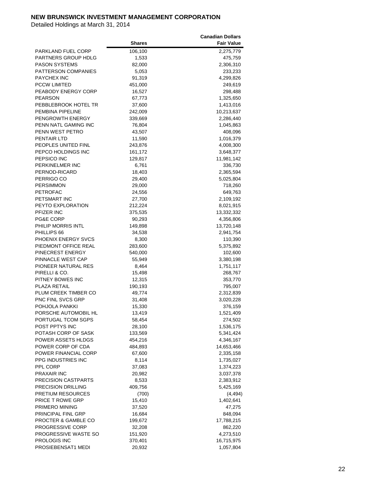|                            |               | <b>Canadian Dollars</b> |
|----------------------------|---------------|-------------------------|
|                            | <b>Shares</b> | <b>Fair Value</b>       |
| PARKLAND FUEL CORP         | 106,100       | 2,275,779               |
| PARTNERS GROUP HDLG        | 1,533         | 475,759                 |
| <b>PASON SYSTEMS</b>       | 82,000        | 2,306,310               |
| PATTERSON COMPANIES        | 5,053         | 233,233                 |
| PAYCHEX INC                | 91,319        | 4,299,826               |
| <b>PCCW LIMITED</b>        | 451,000       | 249,619                 |
| PEABODY ENERGY CORP        |               |                         |
|                            | 16,527        | 298,488                 |
| <b>PEARSON</b>             | 67,773        | 1,325,650               |
| PEBBLEBROOK HOTEL TR       | 37,600        | 1,413,016               |
| PEMBINA PIPELINE           | 242,009       | 10,213,637              |
| PENGROWTH ENERGY           | 339,669       | 2,286,440               |
| PENN NATL GAMING INC       | 76,804        | 1,045,863               |
| PENN WEST PETRO            | 43,507        | 408,096                 |
| PENTAIR LTD                | 11,590        | 1,016,379               |
| PEOPLES UNITED FINL        | 243,876       | 4,008,300               |
| PEPCO HOLDINGS INC         | 161,172       | 3,648,377               |
| PEPSICO INC                | 129,817       | 11,981,142              |
| PERKINELMER INC            | 6,761         | 336,730                 |
| PERNOD-RICARD              | 18,403        | 2,365,594               |
| PERRIGO CO                 | 29,400        | 5,025,804               |
| <b>PERSIMMON</b>           | 29,000        | 718,260                 |
| PETROFAC                   | 24,556        | 649,763                 |
| PETSMART INC               | 27,700        | 2,109,192               |
| PEYTO EXPLORATION          | 212,224       | 8,021,915               |
| PFIZER INC                 | 375,535       | 13,332,332              |
| <b>PG&amp;E CORP</b>       | 90,293        | 4,356,806               |
| PHILIP MORRIS INTL         | 149,898       | 13,720,148              |
| PHILLIPS 66                | 34,538        | 2,941,754               |
| PHOENIX ENERGY SVCS        | 8,300         | 110,390                 |
| PIEDMONT OFFICE REAL       | 283,600       | 5,375,892               |
| PINECREST ENERGY           | 540,000       | 102,600                 |
| PINNACLE WEST CAP          | 55,949        | 3,380,198               |
| PIONEER NATURAL RES        | 8,464         | 1,751,117               |
| PIRELLI & CO.              | 15,498        | 268,767                 |
| PITNEY BOWES INC           | 12,315        | 353,770                 |
| PLAZA RETAIL               | 190,193       | 795,007                 |
| PLUM CREEK TIMBER CO       | 49,774        | 2,312,839               |
| PNC FINL SVCS GRP          | 31,408        | 3,020,228               |
| POHJOLA PANKKI             | 15,330        | 376,159                 |
| PORSCHE AUTOMOBIL HL       | 13,419        | 1,521,409               |
| PORTUGAL TCOM SGPS         | 58,454        | 274,502                 |
| POST PPTYS INC             | 28,100        | 1,536,175               |
| POTASH CORP OF SASK        |               |                         |
| POWER ASSETS HLDGS         | 133,569       | 5,341,424               |
|                            | 454,216       | 4,346,167               |
| POWER CORP OF CDA          | 484,893       | 14,653,466              |
| POWER FINANCIAL CORP       | 67,600        | 2,335,158               |
| PPG INDUSTRIES INC         | 8,114         | 1,735,027               |
| PPL CORP                   | 37,083        | 1,374,223               |
| PRAXAIR INC                | 20,982        | 3,037,378               |
| <b>PRECISION CASTPARTS</b> | 8,533         | 2,383,912               |
| <b>PRECISION DRILLING</b>  | 409,756       | 5,425,169               |
| PRETIUM RESOURCES          | (700)         | (4, 494)                |
| PRICE T ROWE GRP           | 15,410        | 1,402,641               |
| PRIMERO MINING             | 37,520        | 47,275                  |
| PRINCIPAL FINL GRP         | 16,684        | 848,094                 |
| PROCTER & GAMBLE CO        | 199,672       | 17,788,215              |
| <b>PROGRESSIVE CORP</b>    | 32,208        | 862,220                 |
| PROGRESSIVE WASTE SO       | 151,920       | 4,273,510               |
| PROLOGIS INC               | 370,401       | 16,715,975              |
| PROSIEBENSAT1 MEDI         | 20,932        | 1,057,804               |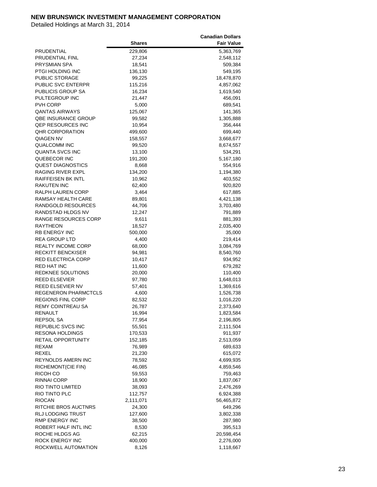|                              |               | <b>Canadian Dollars</b> |
|------------------------------|---------------|-------------------------|
|                              | <b>Shares</b> | <b>Fair Value</b>       |
| PRUDENTIAL                   | 229,806       | 5,363,769               |
| PRUDENTIAL FINL              | 27,234        | 2,548,112               |
| PRYSMIAN SPA                 | 18,541        | 509,384                 |
| PTGI HOLDING INC             | 136,130       | 549,195                 |
| PUBLIC STORAGE               | 99,225        | 18,478,870              |
| PUBLIC SVC ENTERPR           | 115,216       | 4,857,062               |
| PUBLICIS GROUP SA            | 16,234        | 1,619,540               |
| PULTEGROUP INC               | 21,447        | 456,091                 |
| PVH CORP                     | 5,000         | 689,541                 |
| <b><i>OANTAS AIRWAYS</i></b> | 125,067       | 141,365                 |
|                              |               |                         |
| <b>QBE INSURANCE GROUP</b>   | 99,582        | 1,305,888               |
| <b>QEP RESOURCES INC</b>     | 10,954        | 356,444                 |
| <b>QHR CORPORATION</b>       | 499,600       | 699,440                 |
| QIAGEN NV                    | 158,557       | 3,668,677               |
| QUALCOMM INC                 | 99,520        | 8,674,557               |
| QUANTA SVCS INC              | 13,100        | 534,291                 |
| QUEBECOR INC                 | 191,200       | 5,167,180               |
| <b>QUEST DIAGNOSTICS</b>     | 8,668         | 554,916                 |
| RAGING RIVER EXPL            | 134,200       | 1,194,380               |
| RAIFFEISEN BK INTL           | 10,962        | 403,552                 |
| <b>RAKUTEN INC</b>           | 62,400        | 920,820                 |
| RALPH LAUREN CORP            | 3,464         | 617,885                 |
| <b>RAMSAY HEALTH CARE</b>    | 89,801        | 4,421,138               |
| RANDGOLD RESOURCES           | 44,706        | 3,703,480               |
| RANDSTAD HLDGS NV            | 12,247        | 791,889                 |
| RANGE RESOURCES CORP         | 9,611         | 881,393                 |
| RAYTHEON                     | 18,527        | 2,035,400               |
| <b>RB ENERGY INC</b>         | 500,000       | 35,000                  |
| <b>REA GROUP LTD</b>         | 4,400         | 219,414                 |
| <b>REALTY INCOME CORP</b>    | 68,000        | 3,084,769               |
| <b>RECKITT BENCKISER</b>     | 94,981        | 8,540,760               |
| RED ELECTRICA CORP           | 10,417        | 934,952                 |
| RED HAT INC                  | 11,600        | 679,282                 |
| <b>REDKNEE SOLUTIONS</b>     | 20,000        | 110,400                 |
| REED ELSEVIER                | 97,780        | 1,648,013               |
| <b>REED ELSEVIER NV</b>      | 57,401        | 1,369,616               |
| <b>REGENERON PHARMCTCLS</b>  | 4,600         | 1,526,738               |
| <b>REGIONS FINL CORP</b>     | 82,532        | 1,016,220               |
| <b>REMY COINTREAU SA</b>     | 26,787        | 2,373,640               |
| <b>RENAULT</b>               | 16,994        | 1,823,584               |
| REPSOL SA                    | 77,954        | 2,196,805               |
| <b>REPUBLIC SVCS INC</b>     | 55,501        | 2,111,504               |
| <b>RESONA HOLDINGS</b>       | 170,533       | 911,937                 |
| <b>RETAIL OPPORTUNITY</b>    | 152,185       | 2,513,059               |
| REXAM                        | 76,989        | 689,633                 |
| REXEL                        | 21,230        | 615,072                 |
| REYNOLDS AMERN INC           | 78,592        | 4,699,935               |
| RICHEMONT(CIE FIN)           | 46,085        | 4,859,546               |
| RICOH CO                     | 59,553        | 759,463                 |
| RINNAI CORP                  |               |                         |
| RIO TINTO LIMITED            | 18,900        | 1,837,067               |
|                              | 38,093        | 2,476,269               |
| RIO TINTO PLC                | 112,757       | 6,924,388               |
| <b>RIOCAN</b>                | 2,111,071     | 56,465,872              |
| RITCHIE BROS AUCTNRS         | 24,300        | 649,296                 |
| <b>RLJ LODGING TRUST</b>     | 127,600       | 3,802,338               |
| RMP ENERGY INC               | 38,500        | 287,980                 |
| ROBERT HALF INTL INC         | 8,530         | 395,513                 |
| ROCHE HLDGS AG               | 62,215        | 20,598,454              |
| ROCK ENERGY INC              | 400,000       | 2,276,000               |
| ROCKWELL AUTOMATION          | 8,126         | 1,118,667               |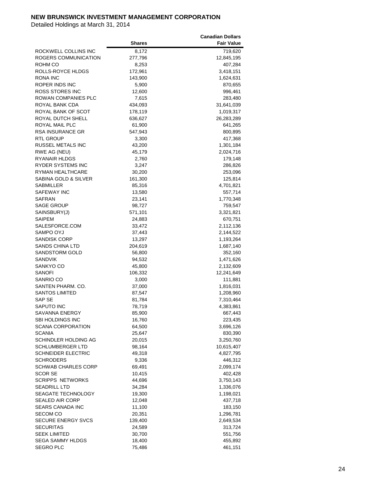|                            |               | <b>Canadian Dollars</b> |
|----------------------------|---------------|-------------------------|
|                            | <b>Shares</b> | <b>Fair Value</b>       |
| ROCKWELL COLLINS INC       | 8,172         | 719,620                 |
| ROGERS COMMUNICATION       | 277,796       | 12,845,195              |
| ROHM CO                    | 8,253         | 407,284                 |
| ROLLS-ROYCE HLDGS          | 172,961       | 3,418,151               |
| RONA INC                   | 143,900       | 1,624,631               |
|                            |               |                         |
| ROPER INDS INC             | 5,900         | 870,655                 |
| ROSS STORES INC            | 12,600        | 996,461                 |
| ROWAN COMPANIES PLC        | 7,615         | 283,480                 |
| ROYAL BANK CDA             | 434,093       | 31,641,039              |
| ROYAL BANK OF SCOT         | 178,119       | 1,019,317               |
| ROYAL DUTCH SHELL          | 636,627       | 26,283,289              |
| ROYAL MAIL PLC             | 61,900        | 641,265                 |
| RSA INSURANCE GR           | 547,943       | 800,895                 |
| RTL GROUP                  | 3,300         | 417,368                 |
| RUSSEL METALS INC          | 43,200        | 1,301,184               |
| RWE AG (NEU)               | 45,179        | 2,024,716               |
| RYANAIR HLDGS              | 2,760         | 179,148                 |
| <b>RYDER SYSTEMS INC</b>   | 3,247         | 286,826                 |
| <b>RYMAN HEALTHCARE</b>    | 30,200        | 253,096                 |
| SABINA GOLD & SILVER       | 161,300       | 125,814                 |
| SABMILLER                  | 85,316        | 4,701,821               |
| SAFEWAY INC                | 13,580        | 557,714                 |
| SAFRAN                     | 23,141        | 1,770,348               |
| <b>SAGE GROUP</b>          | 98,727        | 759,547                 |
| SAINSBURY(J)               | 571,101       | 3,321,821               |
|                            |               |                         |
| SAIPEM                     | 24,883        | 670,751                 |
| SALESFORCE.COM             | 33,472        | 2,112,136               |
| SAMPO OYJ                  | 37,443        | 2,144,522               |
| <b>SANDISK CORP</b>        | 13,297        | 1,193,264               |
| <b>SANDS CHINA LTD</b>     | 204,619       | 1,687,140               |
| SANDSTORM GOLD             | 56,800        | 352,160                 |
| <b>SANDVIK</b>             | 94,532        | 1,471,626               |
| SANKYO CO                  | 45,800        | 2,132,609               |
| SANOFI                     | 106,332       | 12,241,649              |
| SANRIO CO                  | 3,000         | 111,881                 |
| SANTEN PHARM. CO.          | 37,000        | 1,816,031               |
| <b>SANTOS LIMITED</b>      | 87,547        | 1,208,960               |
| SAP SE                     | 81,784        | 7,310,464               |
| <b>SAPUTO INC</b>          | 78,719        | 4,383,861               |
| SAVANNA ENERGY             | 85,900        | 667,443                 |
| <b>SBI HOLDINGS INC</b>    | 16,760        | 223,435                 |
| <b>SCANA CORPORATION</b>   | 64,500        | 3,696,126               |
| SCANIA                     | 25,647        | 830,390                 |
| SCHINDLER HOLDING AG       | 20,015        | 3,250,760               |
| <b>SCHLUMBERGER LTD</b>    | 98,164        | 10,615,407              |
| <b>SCHNEIDER ELECTRIC</b>  | 49,318        | 4,827,795               |
| <b>SCHRODERS</b>           | 9,336         | 446,312                 |
| <b>SCHWAB CHARLES CORP</b> | 69,491        | 2,099,174               |
| <b>SCOR SE</b>             | 10,415        | 402,428                 |
| <b>SCRIPPS NETWORKS</b>    | 44,696        | 3,750,143               |
| <b>SEADRILL LTD</b>        |               | 1,336,076               |
|                            | 34,284        |                         |
| SEAGATE TECHNOLOGY         | 19,300        | 1,198,021               |
| <b>SEALED AIR CORP</b>     | 12,048        | 437,718                 |
| SEARS CANADA INC           | 11,100        | 183,150                 |
| <b>SECOM CO</b>            | 20,351        | 1,296,781               |
| <b>SECURE ENERGY SVCS</b>  | 139,400       | 2,649,534               |
| SECURITAS                  | 24,589        | 313,724                 |
| <b>SEEK LIMITED</b>        | 30,700        | 551,756                 |
| <b>SEGA SAMMY HLDGS</b>    | 18,400        | 455,892                 |
| <b>SEGRO PLC</b>           | 75,486        | 461,151                 |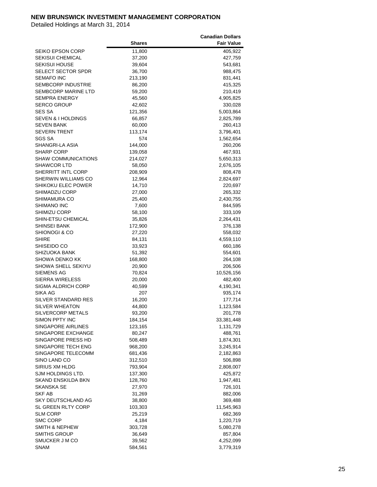|                               |               | <b>Canadian Dollars</b> |
|-------------------------------|---------------|-------------------------|
|                               | <b>Shares</b> | <b>Fair Value</b>       |
| SEIKO EPSON CORP              | 11,800        | 405,922                 |
| <b>SEKISUI CHEMICAL</b>       | 37,200        | 427,759                 |
| SEKISUI HOUSE                 | 39,604        | 543,681                 |
| <b>SELECT SECTOR SPDR</b>     | 36,700        | 988,475                 |
| SEMAFO INC                    | 213,190       | 831,441                 |
|                               |               |                         |
| SEMBCORP INDUSTRIE            | 86,200        | 415,325                 |
| SEMBCORP MARINE LTD           | 59,200        | 210,419                 |
| <b>SEMPRA ENERGY</b>          | 45,560        | 4,905,825               |
| <b>SERCO GROUP</b>            | 42,602        | 330,028                 |
| SES SA                        | 121,356       | 5,003,864               |
| <b>SEVEN &amp; I HOLDINGS</b> | 66,857        | 2,825,789               |
| <b>SEVEN BANK</b>             | 60,000        | 260,413                 |
| <b>SEVERN TRENT</b>           | 113,174       | 3,796,401               |
| SGS SA                        | 574           | 1,562,654               |
| SHANGRI-LA ASIA               | 144,000       | 260,206                 |
| <b>SHARP CORP</b>             | 139,058       | 467,931                 |
| <b>SHAW COMMUNICATIONS</b>    | 214,027       | 5,650,313               |
| <b>SHAWCOR LTD</b>            | 58,050        | 2,676,105               |
| SHERRITT INTL CORP            | 208,909       | 808,478                 |
| SHERWIN WILLIAMS CO           | 12,964        | 2,824,697               |
| SHIKOKU ELEC POWER            | 14,710        | 220,697                 |
| SHIMADZU CORP                 | 27,000        | 265,332                 |
| <b>SHIMAMURA CO</b>           | 25,400        | 2,430,755               |
| <b>SHIMANO INC</b>            | 7,600         | 844,595                 |
| SHIMIZU CORP                  | 58,100        | 333,109                 |
| SHIN-ETSU CHEMICAL            |               |                         |
|                               | 35,826        | 2,264,431               |
| SHINSEI BANK                  | 172,900       | 376,138                 |
| SHIONOGI & CO                 | 27,220        | 558,032                 |
| <b>SHIRE</b>                  | 84,131        | 4,559,110               |
| SHISEIDO CO                   | 33,923        | 660,186                 |
| SHIZUOKA BANK                 | 51,392        | 554,601                 |
| SHOWA DENKO KK                | 168,800       | 264,108                 |
| SHOWA SHELL SEKIYU            | 20,900        | 206,506                 |
| <b>SIEMENS AG</b>             | 70,824        | 10,526,156              |
| <b>SIERRA WIRELESS</b>        | 20,000        | 482,400                 |
| <b>SIGMA ALDRICH CORP</b>     | 40,599        | 4,190,341               |
| SIKA AG                       | 207           | 935,174                 |
| SILVER STANDARD RES           | 16,200        | 177,714                 |
| <b>SILVER WHEATON</b>         | 44,800        | 1,123,584               |
| SILVERCORP METALS             | 93,200        | 201,778                 |
| SIMON PPTY INC                | 184,154       | 33,381,448              |
| SINGAPORE AIRLINES            | 123,165       | 1,131,729               |
| SINGAPORE EXCHANGE            | 80,247        | 488,761                 |
| SINGAPORE PRESS HD            | 508,489       | 1,874,301               |
| SINGAPORE TECH ENG            | 968,200       | 3,245,914               |
| SINGAPORE TELECOMM            | 681,436       | 2,182,863               |
| SINO LAND CO                  | 312,510       | 506,898                 |
| SIRIUS XM HLDG                | 793,904       | 2,808,007               |
| SJM HOLDINGS LTD.             | 137,300       | 425,872                 |
| SKAND ENSKILDA BKN            | 128,760       | 1,947,481               |
| SKANSKA SE                    |               |                         |
|                               | 27,970        | 726,101                 |
| SKF AB                        | 31,269        | 882,006                 |
| SKY DEUTSCHLAND AG            | 38,800        | 369,488                 |
| SL GREEN RLTY CORP            | 103,303       | 11,545,963              |
| SLM CORP                      | 25,219        | 682,369                 |
| <b>SMC CORP</b>               | 4,184         | 1,220,719               |
| SMITH & NEPHEW                | 303,728       | 5,080,278               |
| <b>SMITHS GROUP</b>           | 36,649        | 857,804                 |
| SMUCKER J M CO                | 39,562        | 4,252,099               |
| <b>SNAM</b>                   | 584,561       | 3,779,319               |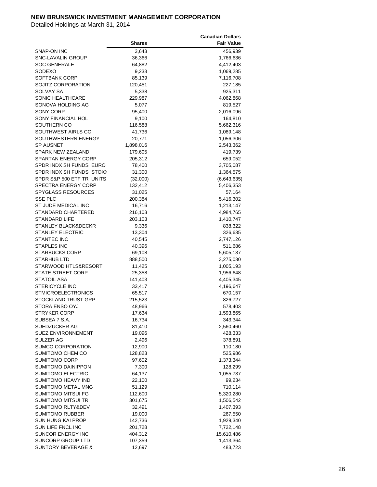|                               |           | <b>Canadian Dollars</b> |
|-------------------------------|-----------|-------------------------|
|                               | Shares    | <b>Fair Value</b>       |
| SNAP-ON INC                   | 3,643     | 456,939                 |
| SNC-LAVALIN GROUP             | 36,366    | 1,766,636               |
| <b>SOC GENERALE</b>           | 64,882    | 4,412,403               |
| SODEXO                        | 9,233     | 1,069,285               |
| SOFTBANK CORP                 | 85,139    | 7,116,708               |
|                               |           |                         |
| <b>SOJITZ CORPORATION</b>     | 120,451   | 227,185                 |
| SOLVAY SA                     | 5,338     | 925,311                 |
| SONIC HEALTHCARE              | 229,987   | 4,062,868               |
| SONOVA HOLDING AG             | 5,077     | 819,527                 |
| <b>SONY CORP</b>              | 95,400    | 2,016,096               |
| SONY FINANCIAL HOL            | 9,100     | 164,810                 |
| SOUTHERN CO                   | 116,588   | 5,662,316               |
| SOUTHWEST AIRLS CO            | 41,736    | 1,089,148               |
| SOUTHWESTERN ENERGY           | 20,771    | 1,056,306               |
| <b>SP AUSNET</b>              | 1,898,016 | 2,543,362               |
| <b>SPARK NEW ZEALAND</b>      | 179,605   | 419,739                 |
| SPARTAN ENERGY CORP           | 205,312   | 659,052                 |
| SPDR INDX SH FUNDS EURO       | 78,400    | 3,705,087               |
| SPDR INDX SH FUNDS STOX)      | 31,300    | 1,364,575               |
| SPDR S&P 500 ETF TR UNITS     | (32,000)  | (6,643,635)             |
| SPECTRA ENERGY CORP           | 132,412   | 5,406,353               |
| <b>SPYGLASS RESOURCES</b>     | 31,025    | 57,164                  |
| <b>SSE PLC</b>                | 200,384   | 5,416,302               |
| ST JUDE MEDICAL INC           | 16,716    |                         |
|                               |           | 1,213,147               |
| <b>STANDARD CHARTERED</b>     | 216,103   | 4,984,765               |
| STANDARD LIFE                 | 203,103   | 1,410,747               |
| STANLEY BLACK&DECKR           | 9,336     | 838,322                 |
| <b>STANLEY ELECTRIC</b>       | 13,304    | 326,635                 |
| <b>STANTEC INC</b>            | 40,545    | 2,747,126               |
| <b>STAPLES INC</b>            | 40,396    | 511,686                 |
| <b>STARBUCKS CORP</b>         | 69,108    | 5,605,137               |
| <b>STARHUB LTD</b>            | 888,500   | 3,275,030               |
| STARWOOD HTLS&RESORT          | 11,425    | 1,005,193               |
| STATE STREET CORP             | 25,358    | 1,956,648               |
| STATOIL ASA                   | 141,403   | 4,405,345               |
| <b>STERICYCLE INC</b>         | 33,417    | 4,196,647               |
| <b>STMICROELECTRONICS</b>     | 65,517    | 670,157                 |
| <b>STOCKLAND TRUST GRP</b>    | 215,523   | 826,727                 |
| <b>STORA ENSO OYJ</b>         | 48,966    | 578,403                 |
| <b>STRYKER CORP</b>           | 17,634    | 1,593,865               |
| SUBSEA 7 S.A.                 | 16,734    | 343,344                 |
| SUEDZUCKER AG                 | 81,410    | 2,560,460               |
| SUEZ ENVIRONNEMENT            | 19,096    | 428,333                 |
| <b>SULZER AG</b>              | 2,496     | 378,891                 |
| SUMCO CORPORATION             | 12,900    | 110,180                 |
| SUMITOMO CHEM CO              | 128,823   | 525,986                 |
| <b>SUMITOMO CORP</b>          | 97,602    | 1,373,344               |
|                               |           |                         |
| SUMITOMO DAINIPPON            | 7,300     | 128,299                 |
| SUMITOMO ELECTRIC             | 64,137    | 1,055,737               |
| SUMITOMO HEAVY IND            | 22,100    | 99,234                  |
| <b>SUMITOMO METAL MNG</b>     | 51,129    | 710,114                 |
| SUMITOMO MITSUI FG            | 112,600   | 5,320,280               |
| SUMITOMO MITSUI TR            | 301,675   | 1,506,542               |
| SUMITOMO RLTY&DEV             | 32,491    | 1,407,393               |
| <b>SUMITOMO RUBBER</b>        | 19,000    | 267,550                 |
| SUN HUNG KAI PROP             | 142,736   | 1,929,340               |
| SUN LIFE FNCL INC             | 201,728   | 7,722,148               |
| SUNCOR ENERGY INC             | 404,312   | 15,610,486              |
| SUNCORP GROUP LTD             | 107,359   | 1,413,364               |
| <b>SUNTORY BEVERAGE &amp;</b> | 12,697    | 483,723                 |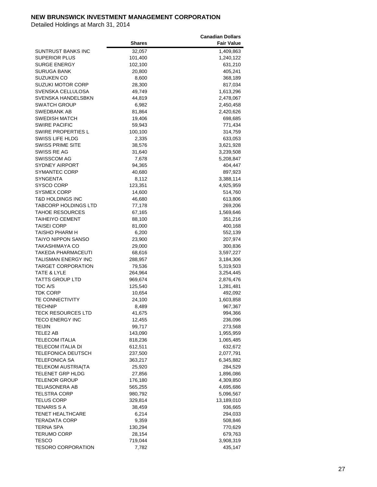|                             |               | <b>Canadian Dollars</b> |
|-----------------------------|---------------|-------------------------|
|                             | <b>Shares</b> | <b>Fair Value</b>       |
| SUNTRUST BANKS INC          | 32,057        | 1,409,863               |
| <b>SUPERIOR PLUS</b>        | 101,400       | 1,240,122               |
| <b>SURGE ENERGY</b>         | 102,100       | 631,210                 |
| SURUGA BANK                 | 20,800        | 405,241                 |
| SUZUKEN CO                  | 8,600         | 368,189                 |
| SUZUKI MOTOR CORP           | 28,300        | 817,034                 |
| SVENSKA CELLULOSA           | 49,749        | 1,613,296               |
| <b>SVENSKA HANDELSBKN</b>   | 44,819        | 2,478,067               |
| <b>SWATCH GROUP</b>         |               |                         |
| <b>SWEDBANK AB</b>          | 6,982         | 2,450,458<br>2,420,626  |
| <b>SWEDISH MATCH</b>        | 81,864        |                         |
|                             | 19,406        | 698,685                 |
| <b>SWIRE PACIFIC</b>        | 59,943        | 771,434                 |
| SWIRE PROPERTIES L          | 100,100       | 314,759                 |
| SWISS LIFE HLDG             | 2,335         | 633,053                 |
| SWISS PRIME SITE            | 38,576        | 3,621,928               |
| SWISS RE AG                 | 31,640        | 3,239,508               |
| <b>SWISSCOM AG</b>          | 7,678         | 5,208,847               |
| <b>SYDNEY AIRPORT</b>       | 94,365        | 404,447                 |
| SYMANTEC CORP               | 40,680        | 897,923                 |
| SYNGENTA                    | 8,112         | 3,388,114               |
| SYSCO CORP                  | 123,351       | 4,925,959               |
| SYSMEX CORP                 | 14,600        | 514,760                 |
| <b>T&amp;D HOLDINGS INC</b> | 46,680        | 613,806                 |
| TABCORP HOLDINGS LTD        | 77,178        | 269,206                 |
| <b>TAHOE RESOURCES</b>      | 67,165        | 1,569,646               |
| TAIHEIYO CEMENT             | 88,100        | 351,216                 |
| <b>TAISEI CORP</b>          | 81,000        | 400,168                 |
| TAISHO PHARM H              | 6,200         | 552,139                 |
| TAIYO NIPPON SANSO          | 23,900        | 207,974                 |
| TAKASHIMAYA CO              | 29,000        | 300,836                 |
| TAKEDA PHARMACEUTI          | 68,616        | 3,597,227               |
| <b>TALISMAN ENERGY INC</b>  | 288,957       | 3,184,306               |
| <b>TARGET CORPORATION</b>   | 79,536        | 5,319,503               |
| TATE & LYLE                 | 264,964       | 3,254,445               |
| TATTS GROUP LTD             | 969,674       | 2,876,476               |
| TDC A/S                     | 125,540       | 1,281,481               |
| <b>TDK CORP</b>             | 10,654        | 492,092                 |
| TE CONNECTIVITY             | 24,100        | 1,603,858               |
| <b>TECHNIP</b>              | 8,489         | 967,367                 |
| <b>TECK RESOURCES LTD</b>   | 41,675        | 994,366                 |
| <b>TECO ENERGY INC</b>      | 12,455        | 236,096                 |
| <b>TEIJIN</b>               | 99,717        | 273,568                 |
| TELE2 AB                    | 143,090       | 1,955,959               |
| <b>TELECOM ITALIA</b>       | 818,236       | 1,065,485               |
| TELECOM ITALIA DI           | 612,511       | 632,672                 |
| TELEFONICA DEUTSCH          | 237,500       | 2,077,791               |
| <b>TELEFONICA SA</b>        | 363,217       | 6,345,882               |
| <b>TELEKOM AUSTRIA(TA</b>   |               |                         |
| <b>TELENET GRP HLDG</b>     | 25,920        | 284,529                 |
|                             | 27,856        | 1,896,086               |
| <b>TELENOR GROUP</b>        | 176,180       | 4,309,850               |
| <b>TELIASONERA AB</b>       | 565,255       | 4,695,686               |
| <b>TELSTRA CORP</b>         | 980,792       | 5,096,567               |
| <b>TELUS CORP</b>           | 329,814       | 13,189,010              |
| <b>TENARIS S A</b>          | 38,459        | 936,665                 |
| <b>TENET HEALTHCARE</b>     | 6,214         | 294,033                 |
| TERADATA CORP               | 9,359         | 508,846                 |
| TERNA SPA                   | 130,294       | 770,629                 |
| <b>TERUMO CORP</b>          | 28,154        | 679,763                 |
| <b>TESCO</b>                | 719,044       | 3,908,319               |
| <b>TESORO CORPORATION</b>   | 7,782         | 435,147                 |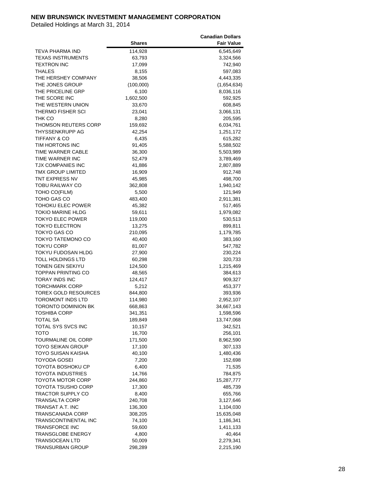|                           |               | <b>Canadian Dollars</b> |
|---------------------------|---------------|-------------------------|
|                           | <b>Shares</b> | <b>Fair Value</b>       |
| TEVA PHARMA IND           | 114,928       | 6,545,649               |
| <b>TEXAS INSTRUMENTS</b>  | 63,793        | 3,324,566               |
| <b>TEXTRON INC</b>        | 17,099        | 742,940                 |
| THALES                    | 8,155         | 597,083                 |
| THE HERSHEY COMPANY       | 38,506        | 4,443,335               |
| THE JONES GROUP           | (100,000)     | (1,654,634)             |
| THE PRICELINE GRP         | 6,100         |                         |
| THE SCORE INC             |               | 8,036,116               |
| THE WESTERN UNION         | 1,602,500     | 592,925                 |
|                           | 33,670        | 608,845                 |
| THERMO FISHER SCI         | 23,041        | 3,066,131               |
| THK CO                    | 8,280         | 205,595                 |
| THOMSON REUTERS CORP      | 159,692       | 6,034,761               |
| THYSSENKRUPP AG           | 42,254        | 1,251,172               |
| TIFFANY & CO              | 6,435         | 615,282                 |
| TIM HORTONS INC           | 91,405        | 5,588,502               |
| TIME WARNER CABLE         | 36,300        | 5,503,989               |
| TIME WARNER INC           | 52,479        | 3,789,469               |
| <b>TJX COMPANIES INC</b>  | 41,886        | 2,807,889               |
| TMX GROUP LIMITED         | 16,909        | 912,748                 |
| TNT EXPRESS NV            | 45,985        | 498,700                 |
| TOBU RAILWAY CO           | 362,808       | 1,940,142               |
| TOHO CO(FILM)             | 5,500         | 121,949                 |
| TOHO GAS CO               | 483,400       | 2,911,381               |
| TOHOKU ELEC POWER         | 45,382        | 517,465                 |
| TOKIO MARINE HLDG         | 59,611        | 1,979,082               |
| TOKYO ELEC POWER          | 119,000       | 530,513                 |
| TOKYO ELECTRON            | 13,275        | 899,811                 |
| TOKYO GAS CO              | 210,095       | 1,179,785               |
| TOKYO TATEMONO CO         | 40,400        | 383,160                 |
| TOKYU CORP                | 81,007        | 547,782                 |
| TOKYU FUDOSAN HLDG        | 27,900        | 230,224                 |
| <b>TOLL HOLDINGS LTD</b>  | 60,298        | 320,733                 |
| <b>TONEN GEN SEKIYU</b>   | 124,500       | 1,215,469               |
| TOPPAN PRINTING CO        | 48,565        | 384,613                 |
| TORAY INDS INC            | 124,417       | 909,327                 |
| <b>TORCHMARK CORP</b>     | 5,212         | 453,377                 |
| TOREX GOLD RESOURCES      | 844,800       | 393,936                 |
| <b>TOROMONT INDS LTD</b>  | 114,980       | 2,952,107               |
| TORONTO DOMINION BK       | 668,863       | 34,667,143              |
| <b>TOSHIBA CORP</b>       | 341,351       | 1,598,596               |
| <b>TOTAL SA</b>           | 189,849       | 13,747,068              |
| TOTAL SYS SVCS INC        | 10,157        | 342,521                 |
| тото                      | 16,700        | 256,101                 |
| TOURMALINE OIL CORP       |               |                         |
|                           | 171,500       | 8,962,590               |
| <b>TOYO SEIKAN GROUP</b>  | 17,100        | 307,133                 |
| TOYO SUISAN KAISHA        | 40,100        | 1,480,436               |
| <b>TOYODA GOSEI</b>       | 7,200         | 152,698                 |
| TOYOTA BOSHOKU CP         | 6,400         | 71,535                  |
| <b>TOYOTA INDUSTRIES</b>  | 14,766        | 784,875                 |
| TOYOTA MOTOR CORP         | 244,860       | 15,287,777              |
| <b>TOYOTA TSUSHO CORP</b> | 17,300        | 485,739                 |
| <b>TRACTOR SUPPLY CO</b>  | 8,400         | 655,766                 |
| <b>TRANSALTA CORP</b>     | 240,708       | 3,127,646               |
| TRANSAT A.T. INC          | 136,300       | 1,104,030               |
| TRANSCANADA CORP          | 308,205       | 15,635,048              |
| TRANSCONTINENTAL INC      | 74,100        | 1,186,341               |
| <b>TRANSFORCE INC</b>     | 59,600        | 1,411,133               |
| TRANSGLOBE ENERGY         | 4,800         | 40,464                  |
| <b>TRANSOCEAN LTD</b>     | 50,009        | 2,279,341               |
| <b>TRANSURBAN GROUP</b>   | 298,289       | 2,215,190               |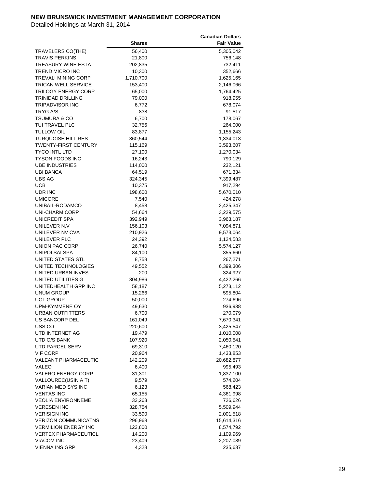|                             |               | Canadian Dollars  |
|-----------------------------|---------------|-------------------|
|                             | <b>Shares</b> | <b>Fair Value</b> |
| TRAVELERS CO(THE)           | 56,400        | 5,305,042         |
| TRAVIS PERKINS              | 21,800        | 756,148           |
| TREASURY WINE ESTA          | 202,835       | 732,411           |
| TREND MICRO INC             | 10,300        | 352,666           |
| <b>TREVALI MINING CORP</b>  | 1,710,700     | 1,625,165         |
| TRICAN WELL SERVICE         | 153,400       | 2,146,066         |
| TRILOGY ENERGY CORP         | 65,000        | 1,764,425         |
| TRINIDAD DRILLING           | 79,000        | 918,955           |
| <b>TRIPADVISOR INC</b>      |               | 678,074           |
| <b>TRYG A/S</b>             | 6,772<br>838  |                   |
|                             | 6,700         | 91,517            |
| <b>TSUMURA &amp; CO</b>     |               | 178,067           |
| TUI TRAVEL PLC              | 32,756        | 264,000           |
| TULLOW OIL                  | 83,877        | 1,155,243         |
| TURQUOISE HILL RES          | 360,544       | 1,334,013         |
| TWENTY-FIRST CENTURY        | 115,169       | 3,593,607         |
| <b>TYCO INTL LTD</b>        | 27,100        | 1,270,034         |
| <b>TYSON FOODS INC</b>      | 16,243        | 790,129           |
| <b>UBE INDUSTRIES</b>       | 114,000       | 232,121           |
| UBI BANCA                   | 64,519        | 671,334           |
| <b>UBS AG</b>               | 324,345       | 7,399,487         |
| <b>UCB</b>                  | 10,375        | 917,294           |
| UDR INC                     | 198,600       | 5,670,010         |
| <b>UMICORE</b>              | 7,540         | 424,278           |
| UNIBAIL-RODAMCO             | 8,458         | 2,425,347         |
| <b>UNI-CHARM CORP</b>       | 54,664        | 3,229,575         |
| UNICREDIT SPA               | 392,949       | 3,963,187         |
| UNILEVER N.V                | 156,103       | 7,094,871         |
| UNILEVER NV CVA             | 210,926       | 9,573,064         |
| UNILEVER PLC                | 24,392        | 1,124,583         |
| UNION PAC CORP              | 26,740        | 5,574,127         |
| UNIPOLSAI SPA               | 84,100        | 355,660           |
| UNITED STATES STL           | 8,758         | 267,271           |
| UNITED TECHNOLOGIES         | 49,552        | 6,399,306         |
| UNITED URBAN INVES          | 200           | 324,927           |
| UNITED UTILITIES G          | 304,986       | 4,422,266         |
| UNITEDHEALTH GRP INC        | 58,187        | 5,273,112         |
| <b>UNUM GROUP</b>           | 15,266        | 595,804           |
| <b>UOL GROUP</b>            | 50,000        | 274,696           |
| UPM-KYMMENE OY              | 49,630        | 936,938           |
| <b>URBAN OUTFITTERS</b>     | 6,700         | 270,079           |
| US BANCORP DEL              | 161,049       | 7,670,341         |
| USS <sub>CO</sub>           | 220,600       | 3,425,547         |
| UTD INTERNET AG             | 19,479        | 1,010,008         |
| UTD O/S BANK                | 107,920       | 2,050,541         |
| UTD PARCEL SERV             | 69,310        | 7,460,120         |
| V F CORP                    | 20,964        | 1,433,853         |
| VALEANT PHARMACEUTIC        | 142,209       | 20,682,877        |
| VALEO                       | 6,400         | 995,493           |
| <b>VALERO ENERGY CORP</b>   | 31,301        | 1,837,100         |
| VALLOUREC(USIN A T)         | 9,579         | 574,204           |
| VARIAN MED SYS INC          | 6,123         | 568,423           |
| <b>VENTAS INC</b>           | 65,155        | 4,361,998         |
| VEOLIA ENVIRONNEME          | 33,263        | 726,626           |
| <b>VERESEN INC</b>          | 328,754       | 5,509,944         |
| <b>VERISIGN INC</b>         |               |                   |
|                             | 33,590        | 2,001,518         |
| <b>VERIZON COMMUNICATNS</b> | 296,968       | 15,614,316        |
| <b>VERMILION ENERGY INC</b> | 123,800       | 8,574,792         |
| <b>VERTEX PHARMACEUTICL</b> | 14,200        | 1,109,969         |
| <b>VIACOM INC</b>           | 23,409        | 2,207,089         |
| <b>VIENNA INS GRP</b>       | 4,328         | 235,637           |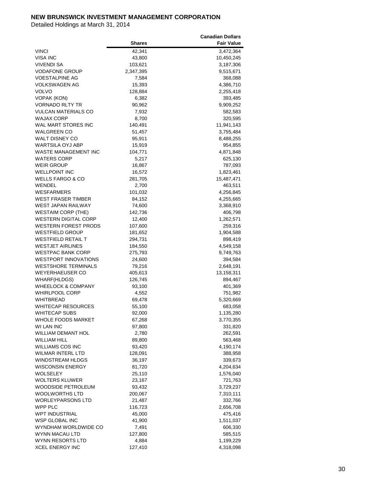|                               |               | <b>Canadian Dollars</b> |
|-------------------------------|---------------|-------------------------|
|                               | <b>Shares</b> | <b>Fair Value</b>       |
| <b>VINCI</b>                  | 42,341        | 3,472,364               |
| <b>VISA INC</b>               | 43,800        | 10,450,245              |
| <b>VIVENDI SA</b>             | 103,621       | 3,187,306               |
| <b>VODAFONE GROUP</b>         | 2,347,395     | 9,515,671               |
| <b>VOESTALPINE AG</b>         | 7,584         | 368,088                 |
| <b>VOLKSWAGEN AG</b>          | 15,393        | 4,386,710               |
| <b>VOLVO</b>                  | 128,884       | 2,255,418               |
| <b>VOPAK (KON)</b>            | 6,382         | 393,485                 |
| VORNADO RLTY TR               | 90,962        | 9,909,252               |
| <b>VULCAN MATERIALS CO</b>    | 7,932         | 582,583                 |
| <b>WAJAX CORP</b>             | 8,700         | 320,595                 |
| WAL MART STORES INC           | 140,491       | 11,941,143              |
| <b>WALGREEN CO</b>            |               |                         |
|                               | 51,457        | 3,755,484               |
| <b>WALT DISNEY CO</b>         | 95,911        | 8,488,255               |
| WARTSILA OYJ ABP              | 15,919        | 954,855                 |
| WASTE MANAGEMENT INC          | 104,771       | 4,871,848               |
| <b>WATERS CORP</b>            | 5,217         | 625,130                 |
| <b>WEIR GROUP</b>             | 16,867        | 787,093                 |
| <b>WELLPOINT INC</b>          | 16,572        | 1,823,461               |
| WELLS FARGO & CO              | 281,705       | 15,487,471              |
| WENDEL                        | 2,700         | 463,511                 |
| WESFARMERS                    | 101,032       | 4,256,845               |
| <b>WEST FRASER TIMBER</b>     | 84,152        | 4,255,665               |
| <b>WEST JAPAN RAILWAY</b>     | 74,600        | 3,368,910               |
| <b>WESTAIM CORP (THE)</b>     | 142,736       | 406,798                 |
| <b>WESTERN DIGITAL CORP</b>   | 12,400        | 1,262,571               |
| WESTERN FOREST PRODS          | 107,600       | 259,316                 |
| <b>WESTFIELD GROUP</b>        | 181,652       | 1,904,588               |
| <b>WESTFIELD RETAIL T</b>     | 294,731       | 898,419                 |
| <b>WESTJET AIRLINES</b>       | 184,550       | 4,549,158               |
| <b>WESTPAC BANK CORP</b>      | 275,793       | 9,749,763               |
| <b>WESTPORT INNOVATIONS</b>   | 24,600        | 394,584                 |
| <b>WESTSHORE TERMINALS</b>    | 79,216        | 2,648,191               |
| <b>WEYERHAEUSER CO</b>        | 405,613       | 13,158,311              |
| <b>WHARF(HLDGS)</b>           | 126,745       | 894,467                 |
| <b>WHEELOCK &amp; COMPANY</b> | 93,100        | 401,369                 |
| <b>WHIRLPOOL CORP</b>         | 4,552         | 751,982                 |
| WHITBREAD                     | 69,478        | 5,320,669               |
| WHITECAP RESOURCES            | 55,100        | 683,058                 |
| <b>WHITECAP SUBS</b>          | 92,000        | 1,135,280               |
| WHOLE FOODS MARKET            | 67,268        | 3,770,355               |
| WI LAN INC                    | 97,800        | 331,820                 |
| <b>WILLIAM DEMANT HOL</b>     | 2,780         | 262,591                 |
| WILLIAM HILL                  | 89,800        | 563,468                 |
| <b>WILLIAMS COS INC</b>       | 93,420        | 4,190,174               |
| WILMAR INTERL LTD             | 128,091       | 388,958                 |
| WINDSTREAM HLDGS              |               |                         |
| <b>WISCONSIN ENERGY</b>       | 36,197        | 339,673                 |
|                               | 81,720        | 4,204,634               |
| WOLSELEY                      | 25,110        | 1,576,040               |
| <b>WOLTERS KLUWER</b>         | 23,167        | 721,763                 |
| WOODSIDE PETROLEUM            | 93,432        | 3,729,237               |
| WOOLWORTHS LTD                | 200,067       | 7,310,111               |
| WORLEYPARSONS LTD             | 21,487        | 332,766                 |
| WPP PLC                       | 116,723       | 2,656,708               |
| <b>WPT INDUSTRIAL</b>         | 45,000        | 475,416                 |
| WSP GLOBAL INC                | 41,900        | 1,511,037               |
| WYNDHAM WORLDWIDE CO          | 7,491         | 606,330                 |
| WYNN MACAU LTD                | 127,800       | 585,515                 |
| WYNN RESORTS LTD              | 4,884         | 1,199,229               |
| <b>XCEL ENERGY INC</b>        | 127,410       | 4,318,098               |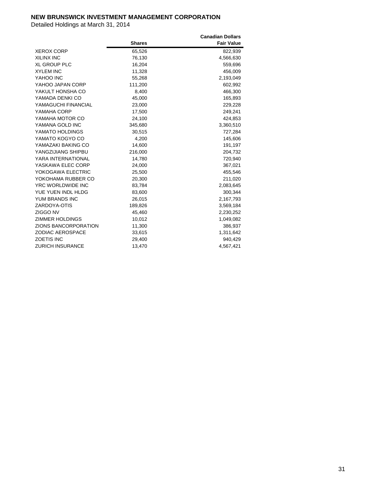|                         |               | <b>Canadian Dollars</b> |
|-------------------------|---------------|-------------------------|
|                         | <b>Shares</b> | <b>Fair Value</b>       |
| <b>XEROX CORP</b>       | 65,526        | 822,939                 |
| <b>XILINX INC</b>       | 76,130        | 4,566,630               |
| <b>XL GROUP PLC</b>     | 16,204        | 559,696                 |
| <b>XYLEM INC</b>        | 11,328        | 456,009                 |
| YAHOO INC               | 55,268        | 2,193,049               |
| YAHOO JAPAN CORP        | 111,200       | 602,992                 |
| YAKULT HONSHA CO        | 8,400         | 466,300                 |
| YAMADA DENKI CO         | 45,000        | 165,893                 |
| YAMAGUCHI FINANCIAL     | 23,000        | 229,228                 |
| YAMAHA CORP             | 17,500        | 249,241                 |
| YAMAHA MOTOR CO         | 24,100        | 424,853                 |
| YAMANA GOLD INC         | 345,680       | 3,360,510               |
| YAMATO HOLDINGS         | 30,515        | 727,284                 |
| YAMATO KOGYO CO         | 4,200         | 145,606                 |
| YAMAZAKI BAKING CO      | 14,600        | 191,197                 |
| YANGZIJIANG SHIPBU      | 216,000       | 204,732                 |
| YARA INTERNATIONAL      | 14,780        | 720,940                 |
| YASKAWA ELEC CORP       | 24,000        | 367,021                 |
| YOKOGAWA ELECTRIC       | 25,500        | 455,546                 |
| YOKOHAMA RUBBER CO      | 20,300        | 211,020                 |
| YRC WORLDWIDE INC       | 83,784        | 2,083,645               |
| YUE YUEN INDL HLDG      | 83,600        | 300,344                 |
| YUM BRANDS INC          | 26,015        | 2,167,793               |
| ZARDOYA-OTIS            | 189,826       | 3,569,184               |
| ZIGGO NV                | 45,460        | 2,230,252               |
| <b>ZIMMER HOLDINGS</b>  | 10,012        | 1,049,082               |
| ZIONS BANCORPORATION    | 11,300        | 386,937                 |
| <b>ZODIAC AEROSPACE</b> | 33,615        | 1,311,642               |
| <b>ZOETIS INC</b>       | 29,400        | 940,429                 |
| <b>ZURICH INSURANCE</b> | 13,470        | 4,567,421               |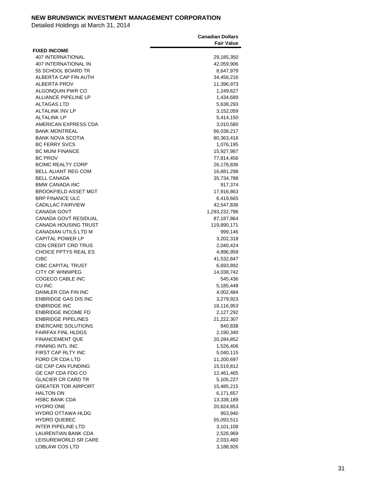|                                            | <b>Canadian Dollars</b> |
|--------------------------------------------|-------------------------|
|                                            | <b>Fair Value</b>       |
| <b>FIXED INCOME</b>                        |                         |
| <b>407 INTERNATIONAL</b>                   | 29,185,350              |
| 407 INTERNATIONAL IN                       | 42,059,906              |
| 55 SCHOOL BOARD TR<br>ALBERTA CAP FIN AUTH | 8,647,979               |
| <b>ALBERTA PROV</b>                        | 34,456,216              |
| ALGONQUIN PWR CO                           | 11,396,973<br>1,249,627 |
| ALLIANCE PIPELINE LP                       | 1,434,689               |
| <b>ALTAGAS LTD</b>                         | 5,638,293               |
| <b>ALTALINK INV LP</b>                     | 3,152,059               |
| <b>ALTALINK LP</b>                         | 5,414,150               |
| AMERICAN EXPRESS CDA                       | 3,010,580               |
| <b>BANK MONTREAL</b>                       | 66,038,217              |
| <b>BANK NOVA SCOTIA</b>                    | 80,363,418              |
| <b>BC FERRY SVCS</b>                       | 1,076,195               |
| <b>BC MUNI FINANCE</b>                     | 15,927,987              |
| <b>BC PROV</b>                             | 77,814,456              |
| <b>BCIMC REALTY CORP</b>                   | 26,178,836              |
| <b>BELL ALIANT REG COM</b>                 | 16,681,298              |
| <b>BELL CANADA</b>                         | 35,734,788              |
| <b>BMW CANADA INC</b>                      | 917,374                 |
| <b>BROOKFIELD ASSET MGT</b>                | 17,916,863              |
| <b>BRP FINANCE ULC</b>                     | 6,419,665               |
| <b>CADILLAC FAIRVIEW</b>                   | 42,547,836              |
| CANADA GOVT                                | 1,293,232,796           |
| CANADA GOVT RESIDUAL                       | 87,187,864              |
| <b>CANADA HOUSING TRUST</b>                | 119,890,171             |
| CANADIAN UTILS LTD M                       | 999,146                 |
| <b>CAPITAL POWER LP</b>                    | 3,202,318               |
| <b>CDN CREDIT CRD TRUS</b>                 | 2,040,424               |
| <b>CHOICE PPTYS REAL ES</b><br><b>CIBC</b> | 4,896,959<br>41,532,847 |
| <b>CIBC CAPITAL TRUST</b>                  | 6,693,892               |
| <b>CITY OF WINNIPEG</b>                    | 14,038,742              |
| COGECO CABLE INC                           | 545,436                 |
| CU INC                                     | 5,185,448               |
| DAIMLER CDA FIN INC                        | 4,002,484               |
| <b>ENBRIDGE GAS DIS INC</b>                | 3,279,923               |
| <b>ENBRIDGE INC</b>                        | 18,116,953              |
| <b>ENBRIDGE INCOME FD</b>                  | 2,127,292               |
| <b>ENBRIDGE PIPELINES</b>                  | 21,222,307              |
| <b>ENERCARE SOLUTIONS</b>                  | 840,838                 |
| <b>FAIRFAX FINL HLDGS</b>                  | 2,190,340               |
| <b>FINANCEMENT QUE</b>                     | 20,284,852              |
| <b>FINNING INTL INC</b>                    | 1,526,406               |
| FIRST CAP RLTY INC                         | 5,040,115               |
| FORD CR CDA LTD                            | 11,200,697              |
| <b>GE CAP CAN FUNDING</b>                  | 15,519,812              |
| GE CAP CDA FDG CO                          | 12,461,465              |
| <b>GLACIER CR CARD TR</b>                  | 5,105,227               |
| <b>GREATER TOR AIRPORT</b>                 | 15,485,215              |
| <b>HALTON ON</b>                           | 6,171,657               |
| <b>HSBC BANK CDA</b>                       | 13,338,189              |
| <b>HYDRO ONE</b>                           | 20,824,853              |
| <b>HYDRO OTTAWA HLDG</b>                   | 953,940                 |
| <b>HYDRO QUEBEC</b>                        | 55,093,511              |
| INTER PIPELINE LTD                         | 3,101,108               |
| LAURENTIAN BANK CDA                        | 2,526,969               |
| LEISUREWORLD SR CARE<br>LOBLAW COS LTD     | 2,033,460<br>3,188,926  |
|                                            |                         |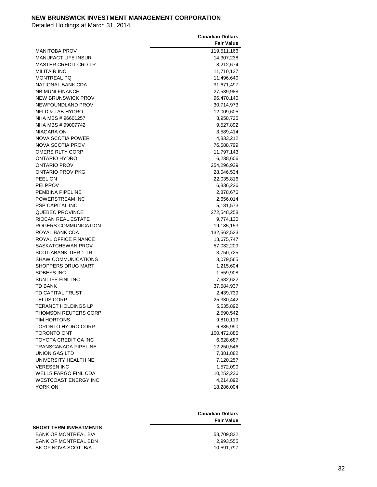|                             | <b>Canadian Dollars</b><br><b>Fair Value</b> |
|-----------------------------|----------------------------------------------|
| MANITOBA PROV               | 119,511,166                                  |
| MANUFACT LIFE INSUR         | 14,307,238                                   |
| MASTER CREDIT CRD TR        | 8,212,674                                    |
| MILITAIR INC.               | 11,710,137                                   |
| <b>MONTREAL PQ</b>          | 11,496,640                                   |
| NATIONAL BANK CDA           | 31,671,497                                   |
| <b>NB MUNI FINANCE</b>      | 27,539,988                                   |
| <b>NEW BRUNSWICK PROV</b>   | 96,470,140                                   |
| NEWFOUNDLAND PROV           | 30,714,973                                   |
| NFLD & LAB HYDRO            | 12,009,605                                   |
| NHA MBS # 96601257          | 8,958,725                                    |
| NHA MBS # 99007742          | 9,527,892                                    |
| NIAGARA ON                  | 3,589,414                                    |
| NOVA SCOTIA POWER           | 4,833,212                                    |
| NOVA SCOTIA PROV            | 76,588,799                                   |
| OMERS RLTY CORP             | 11,797,143                                   |
| ONTARIO HYDRO               | 6,238,606                                    |
| ONTARIO PROV                | 254,296,939                                  |
| ONTARIO PROV PKG            | 28,046,534                                   |
| PEEL ON                     | 22,035,816                                   |
| PEI PROV                    | 6,836,226                                    |
| PEMBINA PIPELINE            | 2,878,676                                    |
| POWERSTREAM INC             | 2,656,014                                    |
| PSP CAPITAL INC             | 5,181,573                                    |
| <b>QUEBEC PROVINCE</b>      | 272,548,258                                  |
| RIOCAN REAL ESTATE          | 9,774,130                                    |
| ROGERS COMMUNICATION        | 19,185,153                                   |
| ROYAL BANK CDA              | 132,562,523                                  |
| ROYAL OFFICE FINANCE        | 13,675,747                                   |
| SASKATCHEWAN PROV           | 57,032,209                                   |
| SCOTIABANK TIER 1 TR        | 3,750,725                                    |
| <b>SHAW COMMUNICATIONS</b>  | 3,079,565                                    |
| SHOPPERS DRUG MART          | 1,215,604                                    |
| SOBEYS INC                  | 1,559,908                                    |
| SUN LIFE FINL INC           | 7,682,622                                    |
| TD BANK                     | 37,584,937                                   |
| TD CAPITAL TRUST            | 2,439,739                                    |
| <b>TELUS CORP</b>           | 25,330,442                                   |
| <b>TERANET HOLDINGS LP</b>  | 5,535,892                                    |
| <b>THOMSON REUTERS CORP</b> | 2,590,542                                    |
| TIM HORTONS                 | 9,810,119                                    |
| <b>TORONTO HYDRO CORP</b>   | 6,885,990                                    |
| <b>TORONTO ONT</b>          | 100,472,885                                  |
| TOYOTA CREDIT CA INC        | 6,628,687                                    |
| TRANSCANADA PIPELINE        | 12,250,546                                   |
| UNION GAS LTD               | 7,381,882                                    |
| UNIVERSITY HEALTH NE        | 7,120,257                                    |
| <b>VERESEN INC</b>          | 1,572,090                                    |
| <b>WELLS FARGO FINL CDA</b> | 10,252,236                                   |
| <b>WESTCOAST ENERGY INC</b> | 4,214,892                                    |
| YORK ON                     | 18,286,004                                   |

|                               | <b>Canadian Dollars</b><br><b>Fair Value</b> |
|-------------------------------|----------------------------------------------|
| <b>SHORT TERM INVESTMENTS</b> |                                              |
| BANK OF MONTREAL B/A          | 53,709,822                                   |
| <b>BANK OF MONTREAL BDN</b>   | 2,993,555                                    |
| BK OF NOVA SCOT B/A           | 10,591,797                                   |